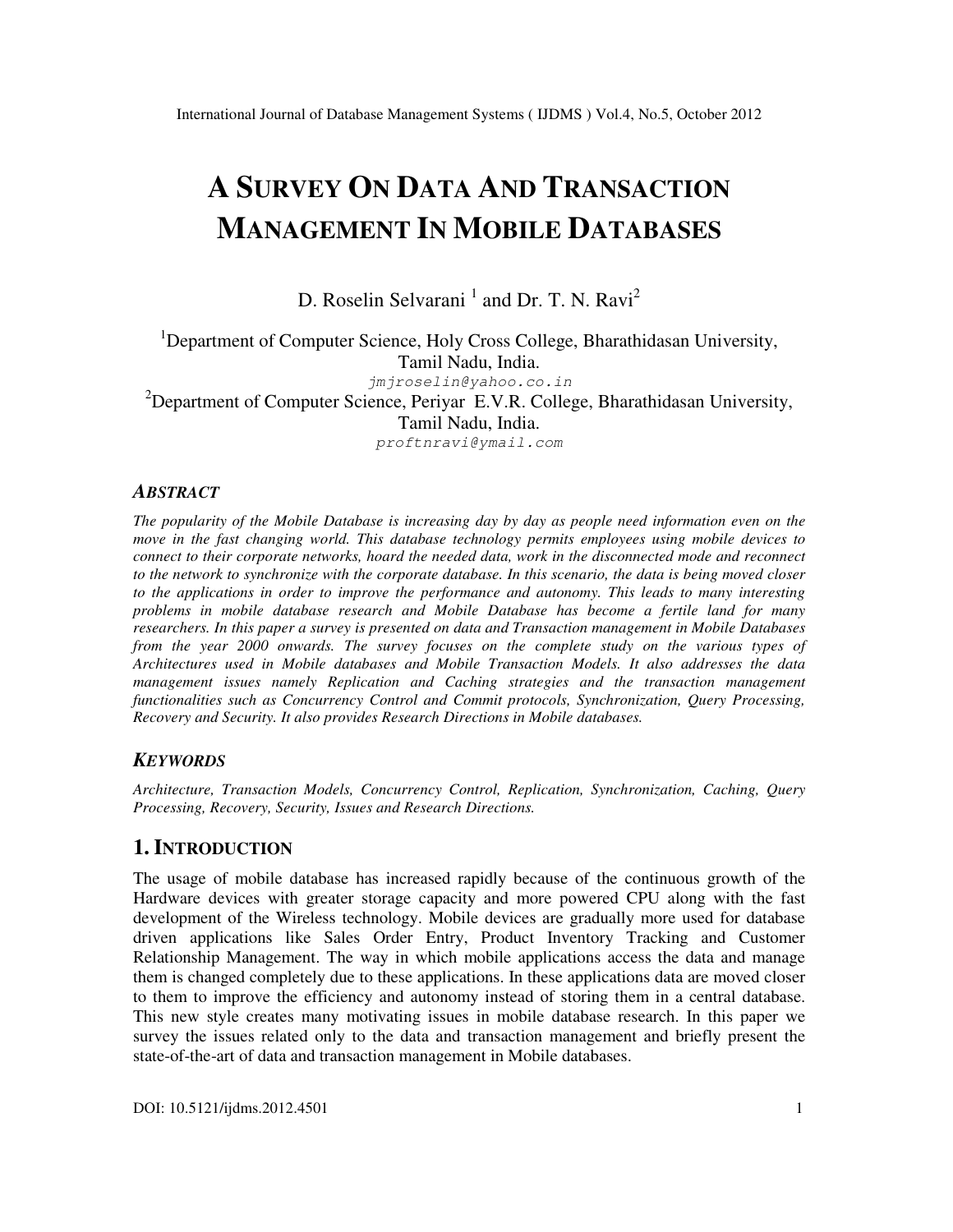# **A SURVEY ON DATA AND TRANSACTION MANAGEMENT IN MOBILE DATABASES**

D. Roselin Selvarani<sup>1</sup> and Dr. T. N. Ravi<sup>2</sup>

<sup>1</sup>Department of Computer Science, Holy Cross College, Bharathidasan University, Tamil Nadu, India. jmjroselin@yahoo.co.in <sup>2</sup>Department of Computer Science, Periyar E.V.R. College, Bharathidasan University, Tamil Nadu, India. proftnravi@ymail.com

#### *ABSTRACT*

*The popularity of the Mobile Database is increasing day by day as people need information even on the move in the fast changing world. This database technology permits employees using mobile devices to connect to their corporate networks, hoard the needed data, work in the disconnected mode and reconnect to the network to synchronize with the corporate database. In this scenario, the data is being moved closer to the applications in order to improve the performance and autonomy. This leads to many interesting problems in mobile database research and Mobile Database has become a fertile land for many researchers. In this paper a survey is presented on data and Transaction management in Mobile Databases from the year 2000 onwards. The survey focuses on the complete study on the various types of Architectures used in Mobile databases and Mobile Transaction Models. It also addresses the data management issues namely Replication and Caching strategies and the transaction management functionalities such as Concurrency Control and Commit protocols, Synchronization, Query Processing, Recovery and Security. It also provides Research Directions in Mobile databases.* 

# *KEYWORDS*

*Architecture, Transaction Models, Concurrency Control, Replication, Synchronization, Caching, Query Processing, Recovery, Security, Issues and Research Directions.* 

# **1. INTRODUCTION**

The usage of mobile database has increased rapidly because of the continuous growth of the Hardware devices with greater storage capacity and more powered CPU along with the fast development of the Wireless technology. Mobile devices are gradually more used for database driven applications like Sales Order Entry, Product Inventory Tracking and Customer Relationship Management. The way in which mobile applications access the data and manage them is changed completely due to these applications. In these applications data are moved closer to them to improve the efficiency and autonomy instead of storing them in a central database. This new style creates many motivating issues in mobile database research. In this paper we survey the issues related only to the data and transaction management and briefly present the state-of-the-art of data and transaction management in Mobile databases.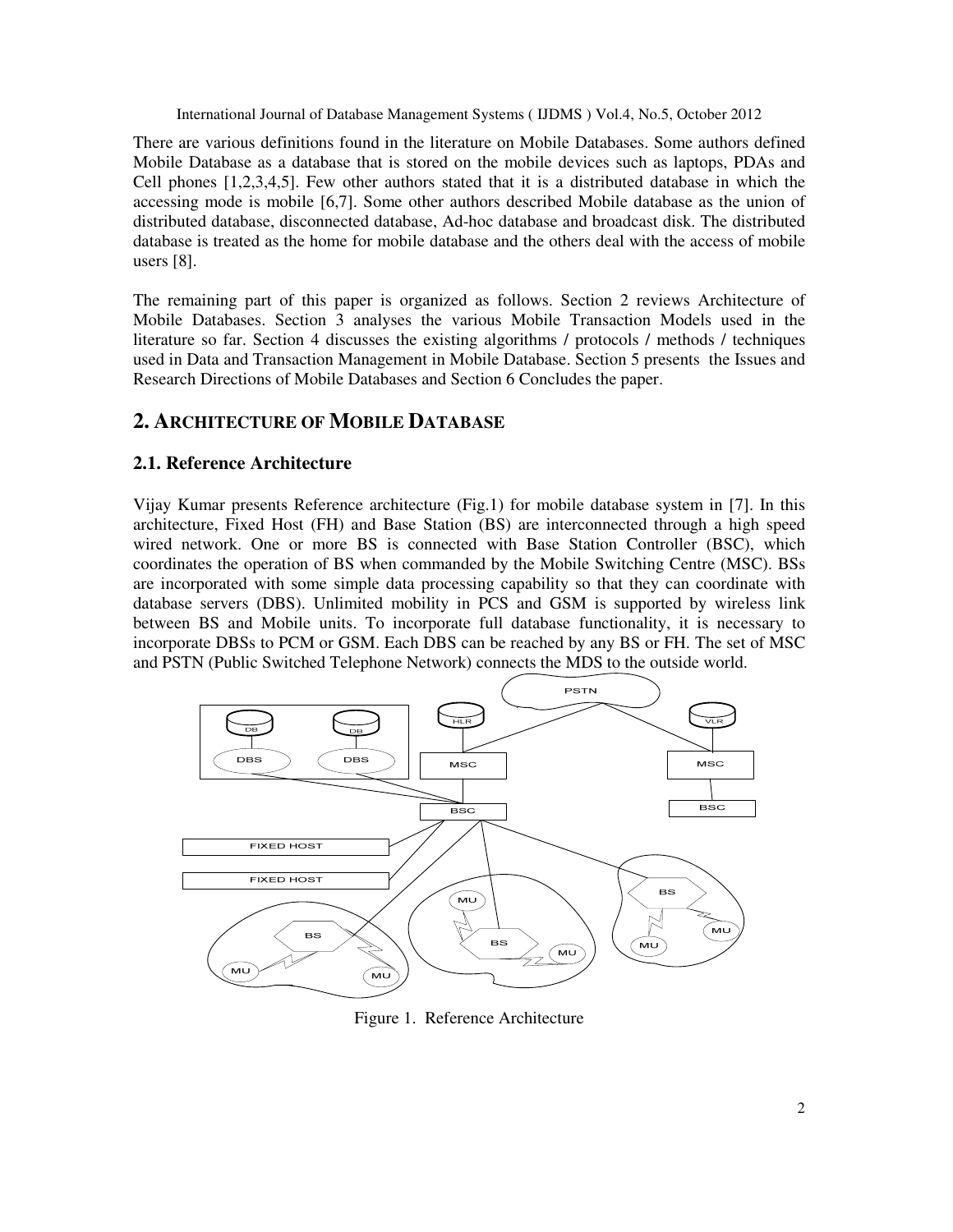There are various definitions found in the literature on Mobile Databases. Some authors defined Mobile Database as a database that is stored on the mobile devices such as laptops, PDAs and Cell phones [1,2,3,4,5]. Few other authors stated that it is a distributed database in which the accessing mode is mobile [6,7]. Some other authors described Mobile database as the union of distributed database, disconnected database, Ad-hoc database and broadcast disk. The distributed database is treated as the home for mobile database and the others deal with the access of mobile users [8].

The remaining part of this paper is organized as follows. Section 2 reviews Architecture of Mobile Databases. Section 3 analyses the various Mobile Transaction Models used in the literature so far. Section 4 discusses the existing algorithms / protocols / methods / techniques used in Data and Transaction Management in Mobile Database. Section 5 presents the Issues and Research Directions of Mobile Databases and Section 6 Concludes the paper.

# **2. ARCHITECTURE OF MOBILE DATABASE**

#### **2.1. Reference Architecture**

Vijay Kumar presents Reference architecture (Fig.1) for mobile database system in [7]. In this architecture, Fixed Host (FH) and Base Station (BS) are interconnected through a high speed wired network. One or more BS is connected with Base Station Controller (BSC), which coordinates the operation of BS when commanded by the Mobile Switching Centre (MSC). BSs are incorporated with some simple data processing capability so that they can coordinate with database servers (DBS). Unlimited mobility in PCS and GSM is supported by wireless link between BS and Mobile units. To incorporate full database functionality, it is necessary to incorporate DBSs to PCM or GSM. Each DBS can be reached by any BS or FH. The set of MSC and PSTN (Public Switched Telephone Network) connects the MDS to the outside world.



Figure 1. Reference Architecture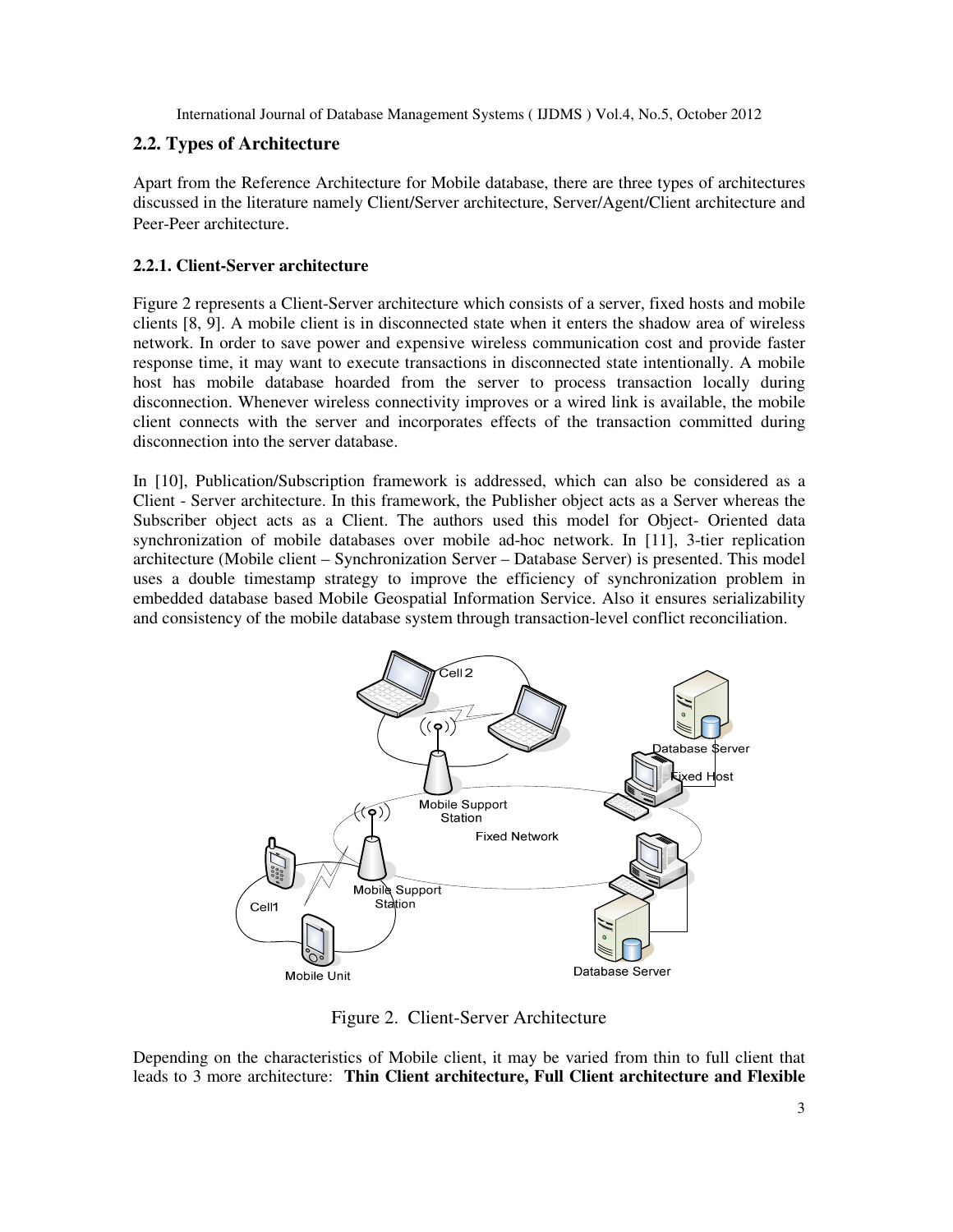#### **2.2. Types of Architecture**

Apart from the Reference Architecture for Mobile database, there are three types of architectures discussed in the literature namely Client/Server architecture, Server/Agent/Client architecture and Peer-Peer architecture.

#### **2.2.1. Client-Server architecture**

Figure 2 represents a Client-Server architecture which consists of a server, fixed hosts and mobile clients [8, 9]. A mobile client is in disconnected state when it enters the shadow area of wireless network. In order to save power and expensive wireless communication cost and provide faster response time, it may want to execute transactions in disconnected state intentionally. A mobile host has mobile database hoarded from the server to process transaction locally during disconnection. Whenever wireless connectivity improves or a wired link is available, the mobile client connects with the server and incorporates effects of the transaction committed during disconnection into the server database.

In [10], Publication/Subscription framework is addressed, which can also be considered as a Client - Server architecture. In this framework, the Publisher object acts as a Server whereas the Subscriber object acts as a Client. The authors used this model for Object- Oriented data synchronization of mobile databases over mobile ad-hoc network. In [11], 3-tier replication architecture (Mobile client – Synchronization Server – Database Server) is presented. This model uses a double timestamp strategy to improve the efficiency of synchronization problem in embedded database based Mobile Geospatial Information Service. Also it ensures serializability and consistency of the mobile database system through transaction-level conflict reconciliation.



Figure 2. Client-Server Architecture

Depending on the characteristics of Mobile client, it may be varied from thin to full client that leads to 3 more architecture: **Thin Client architecture, Full Client architecture and Flexible**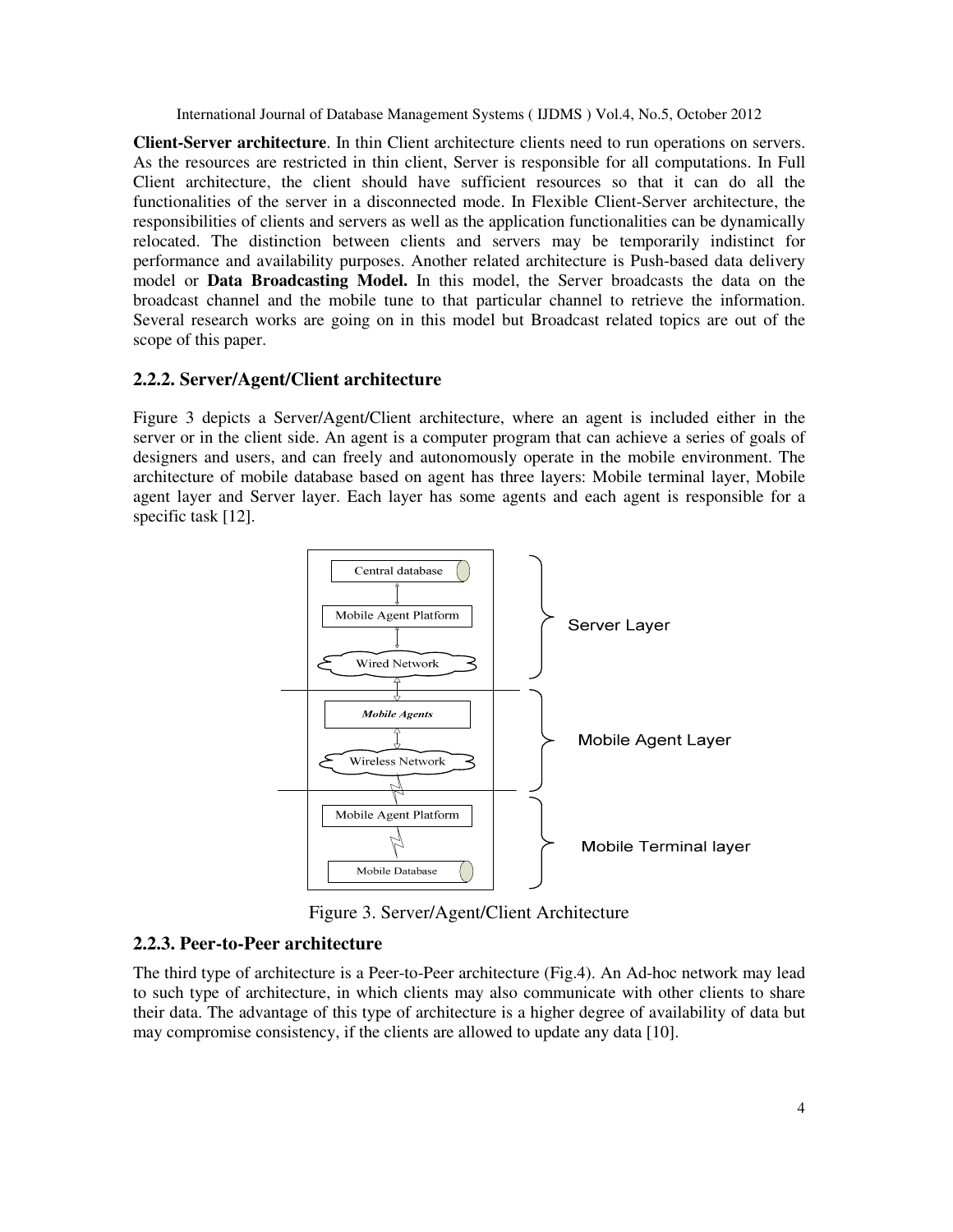**Client-Server architecture**. In thin Client architecture clients need to run operations on servers. As the resources are restricted in thin client, Server is responsible for all computations. In Full Client architecture, the client should have sufficient resources so that it can do all the functionalities of the server in a disconnected mode. In Flexible Client-Server architecture, the responsibilities of clients and servers as well as the application functionalities can be dynamically relocated. The distinction between clients and servers may be temporarily indistinct for performance and availability purposes. Another related architecture is Push-based data delivery model or **Data Broadcasting Model.** In this model, the Server broadcasts the data on the broadcast channel and the mobile tune to that particular channel to retrieve the information. Several research works are going on in this model but Broadcast related topics are out of the scope of this paper.

#### **2.2.2. Server/Agent/Client architecture**

Figure 3 depicts a Server/Agent/Client architecture, where an agent is included either in the server or in the client side. An agent is a computer program that can achieve a series of goals of designers and users, and can freely and autonomously operate in the mobile environment. The architecture of mobile database based on agent has three layers: Mobile terminal layer, Mobile agent layer and Server layer. Each layer has some agents and each agent is responsible for a specific task [12].



Figure 3. Server/Agent/Client Architecture

#### **2.2.3. Peer-to-Peer architecture**

The third type of architecture is a Peer-to-Peer architecture (Fig.4). An Ad-hoc network may lead to such type of architecture, in which clients may also communicate with other clients to share their data. The advantage of this type of architecture is a higher degree of availability of data but may compromise consistency, if the clients are allowed to update any data [10].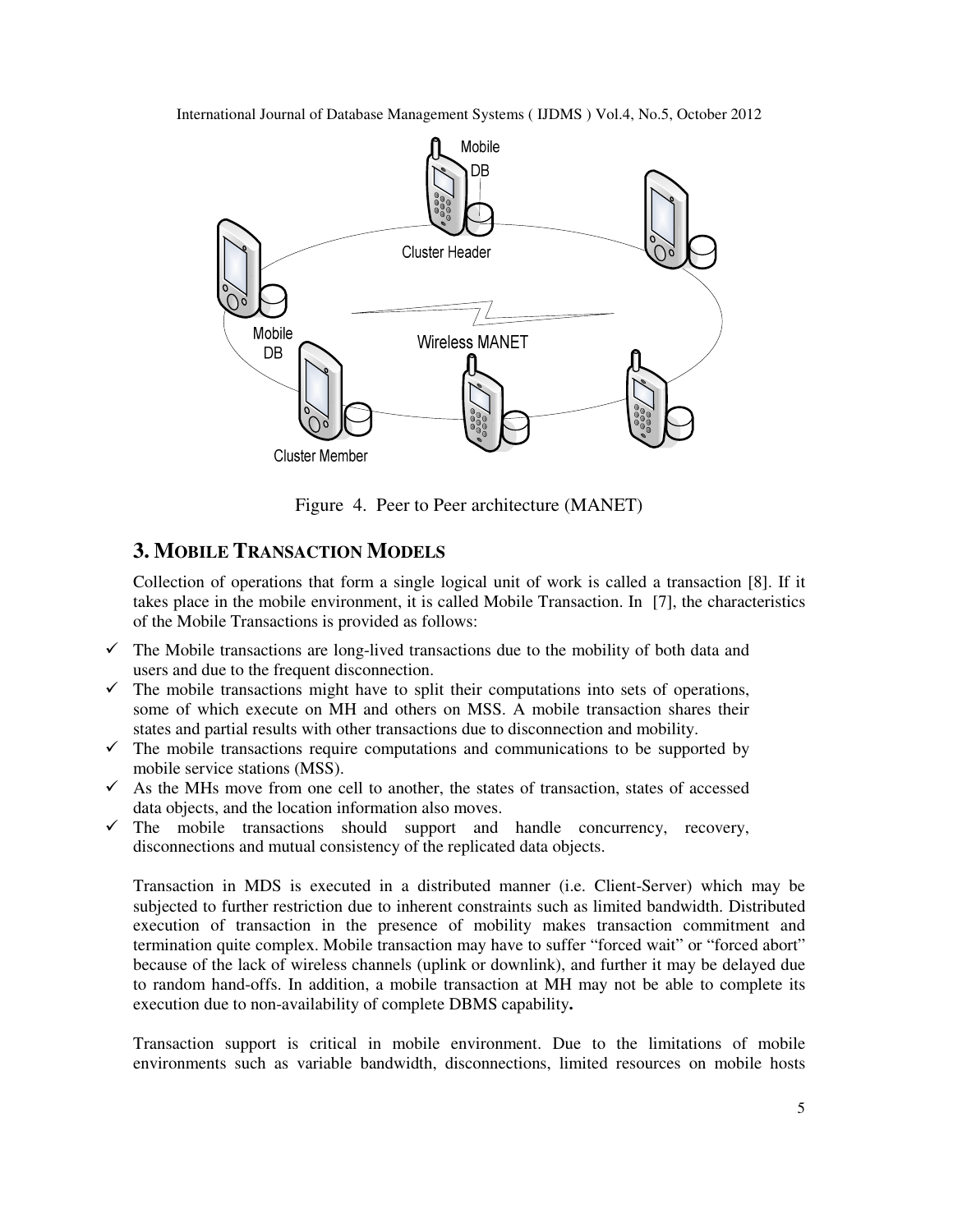International Journal of Database Management Systems ( IJDMS ) Vol.4, No.5, October 2012



Figure 4. Peer to Peer architecture (MANET)

# **3. MOBILE TRANSACTION MODELS**

Collection of operations that form a single logical unit of work is called a transaction [8]. If it takes place in the mobile environment, it is called Mobile Transaction. In [7], the characteristics of the Mobile Transactions is provided as follows:

- $\checkmark$  The Mobile transactions are long-lived transactions due to the mobility of both data and users and due to the frequent disconnection.
- $\checkmark$  The mobile transactions might have to split their computations into sets of operations, some of which execute on MH and others on MSS. A mobile transaction shares their states and partial results with other transactions due to disconnection and mobility.
- $\checkmark$  The mobile transactions require computations and communications to be supported by mobile service stations (MSS).
- $\checkmark$  As the MHs move from one cell to another, the states of transaction, states of accessed data objects, and the location information also moves.
- $\checkmark$  The mobile transactions should support and handle concurrency, recovery, disconnections and mutual consistency of the replicated data objects.

Transaction in MDS is executed in a distributed manner (i.e. Client-Server) which may be subjected to further restriction due to inherent constraints such as limited bandwidth. Distributed execution of transaction in the presence of mobility makes transaction commitment and termination quite complex. Mobile transaction may have to suffer "forced wait" or "forced abort" because of the lack of wireless channels (uplink or downlink), and further it may be delayed due to random hand-offs. In addition, a mobile transaction at MH may not be able to complete its execution due to non-availability of complete DBMS capability**.** 

Transaction support is critical in mobile environment. Due to the limitations of mobile environments such as variable bandwidth, disconnections, limited resources on mobile hosts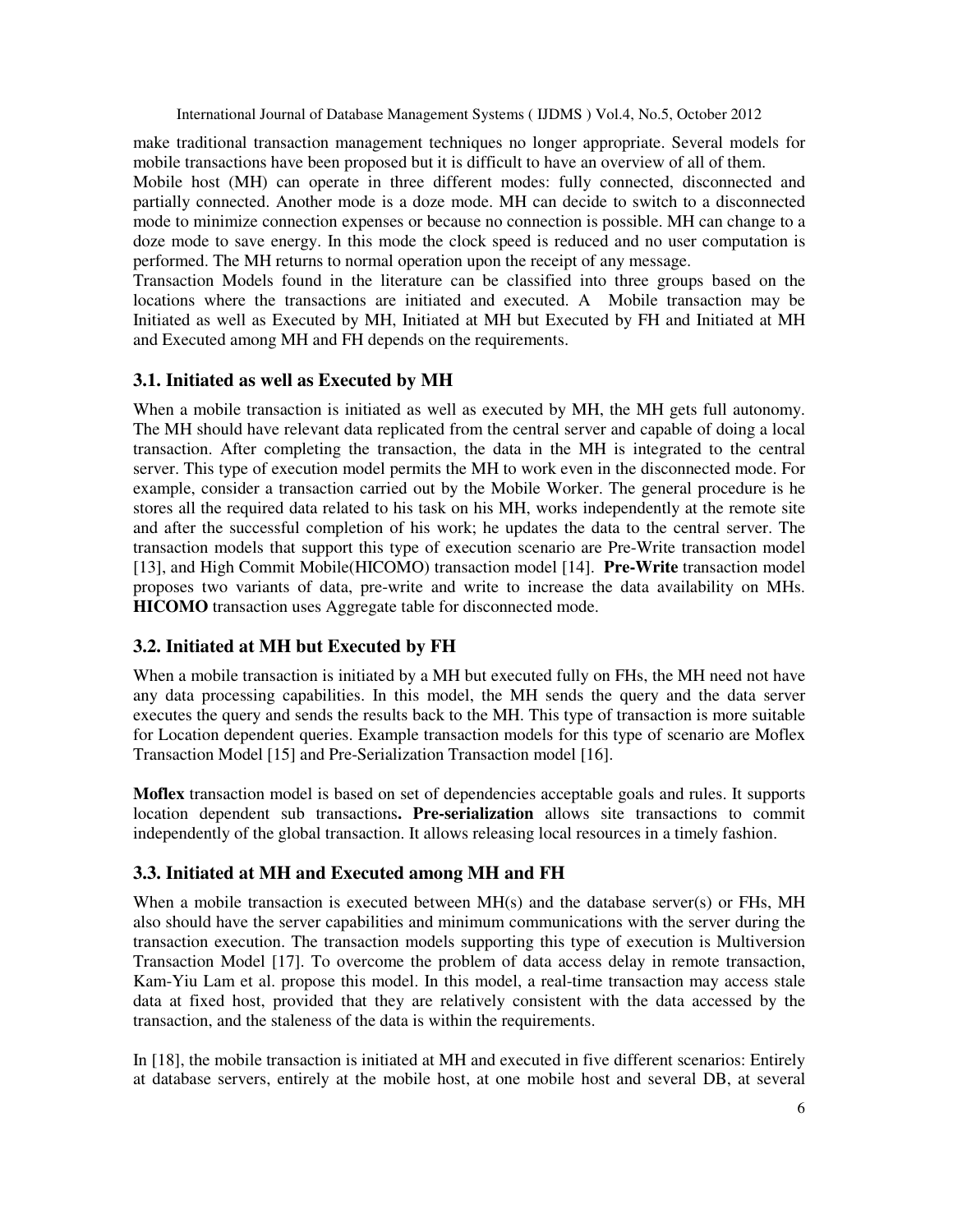make traditional transaction management techniques no longer appropriate. Several models for mobile transactions have been proposed but it is difficult to have an overview of all of them.

Mobile host (MH) can operate in three different modes: fully connected, disconnected and partially connected. Another mode is a doze mode. MH can decide to switch to a disconnected mode to minimize connection expenses or because no connection is possible. MH can change to a doze mode to save energy. In this mode the clock speed is reduced and no user computation is performed. The MH returns to normal operation upon the receipt of any message.

Transaction Models found in the literature can be classified into three groups based on the locations where the transactions are initiated and executed. A Mobile transaction may be Initiated as well as Executed by MH, Initiated at MH but Executed by FH and Initiated at MH and Executed among MH and FH depends on the requirements.

#### **3.1. Initiated as well as Executed by MH**

When a mobile transaction is initiated as well as executed by MH, the MH gets full autonomy. The MH should have relevant data replicated from the central server and capable of doing a local transaction. After completing the transaction, the data in the MH is integrated to the central server. This type of execution model permits the MH to work even in the disconnected mode. For example, consider a transaction carried out by the Mobile Worker. The general procedure is he stores all the required data related to his task on his MH, works independently at the remote site and after the successful completion of his work; he updates the data to the central server. The transaction models that support this type of execution scenario are Pre-Write transaction model [13], and High Commit Mobile(HICOMO) transaction model [14]. **Pre-Write** transaction model proposes two variants of data, pre-write and write to increase the data availability on MHs. **HICOMO** transaction uses Aggregate table for disconnected mode.

#### **3.2. Initiated at MH but Executed by FH**

When a mobile transaction is initiated by a MH but executed fully on FHs, the MH need not have any data processing capabilities. In this model, the MH sends the query and the data server executes the query and sends the results back to the MH. This type of transaction is more suitable for Location dependent queries. Example transaction models for this type of scenario are Moflex Transaction Model [15] and Pre-Serialization Transaction model [16].

**Moflex** transaction model is based on set of dependencies acceptable goals and rules. It supports location dependent sub transactions**. Pre-serialization** allows site transactions to commit independently of the global transaction. It allows releasing local resources in a timely fashion.

#### **3.3. Initiated at MH and Executed among MH and FH**

When a mobile transaction is executed between MH(s) and the database server(s) or FHs, MH also should have the server capabilities and minimum communications with the server during the transaction execution. The transaction models supporting this type of execution is Multiversion Transaction Model [17]. To overcome the problem of data access delay in remote transaction, Kam-Yiu Lam et al. propose this model. In this model, a real-time transaction may access stale data at fixed host, provided that they are relatively consistent with the data accessed by the transaction, and the staleness of the data is within the requirements.

In [18], the mobile transaction is initiated at MH and executed in five different scenarios: Entirely at database servers, entirely at the mobile host, at one mobile host and several DB, at several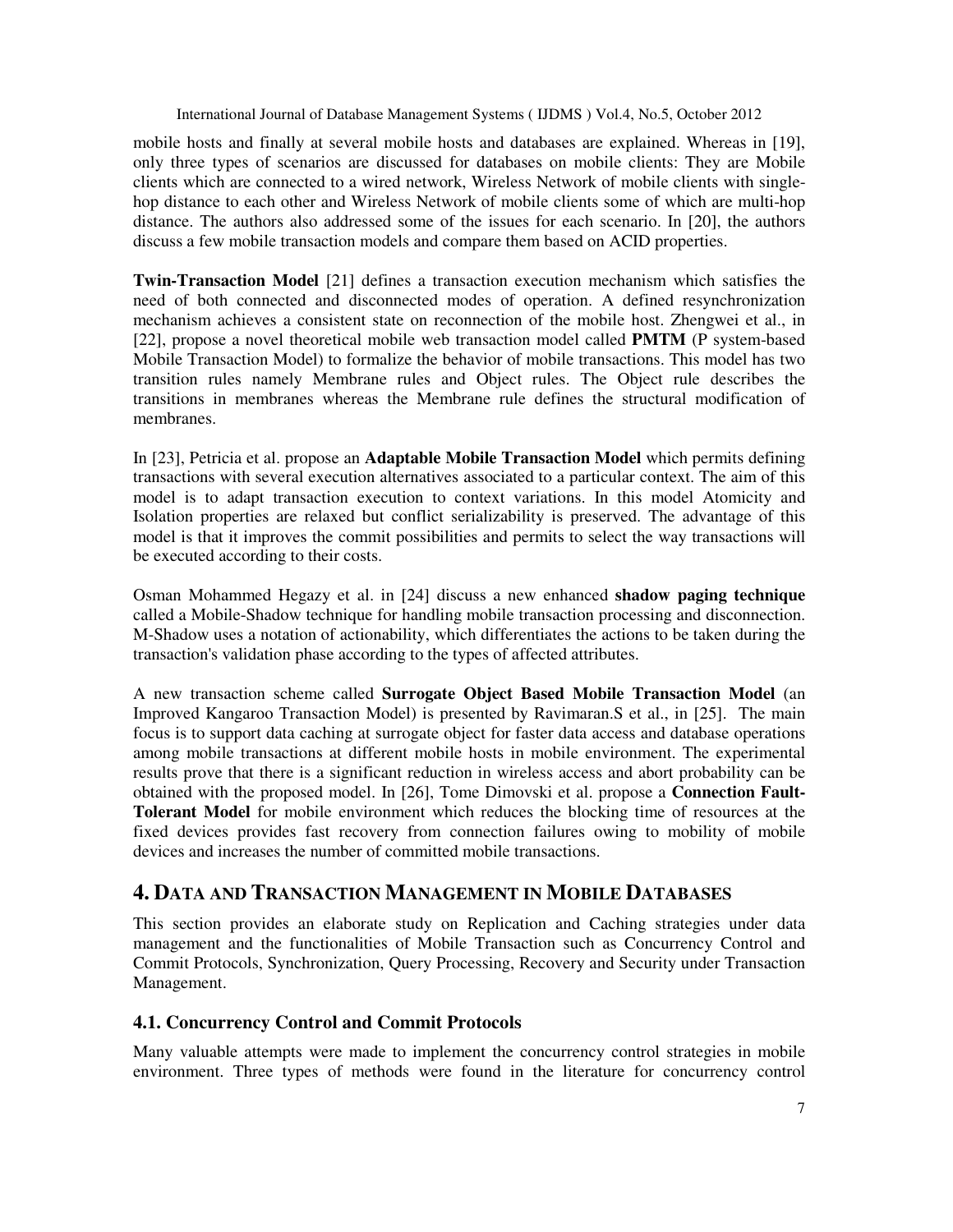mobile hosts and finally at several mobile hosts and databases are explained. Whereas in [19], only three types of scenarios are discussed for databases on mobile clients: They are Mobile clients which are connected to a wired network, Wireless Network of mobile clients with singlehop distance to each other and Wireless Network of mobile clients some of which are multi-hop distance. The authors also addressed some of the issues for each scenario. In [20], the authors discuss a few mobile transaction models and compare them based on ACID properties.

**Twin-Transaction Model** [21] defines a transaction execution mechanism which satisfies the need of both connected and disconnected modes of operation. A defined resynchronization mechanism achieves a consistent state on reconnection of the mobile host. Zhengwei et al., in [22], propose a novel theoretical mobile web transaction model called **PMTM** (P system-based Mobile Transaction Model) to formalize the behavior of mobile transactions. This model has two transition rules namely Membrane rules and Object rules. The Object rule describes the transitions in membranes whereas the Membrane rule defines the structural modification of membranes.

In [23], Petricia et al. propose an **Adaptable Mobile Transaction Model** which permits defining transactions with several execution alternatives associated to a particular context. The aim of this model is to adapt transaction execution to context variations. In this model Atomicity and Isolation properties are relaxed but conflict serializability is preserved. The advantage of this model is that it improves the commit possibilities and permits to select the way transactions will be executed according to their costs.

Osman Mohammed Hegazy et al. in [24] discuss a new enhanced **shadow paging technique**  called a Mobile-Shadow technique for handling mobile transaction processing and disconnection. M-Shadow uses a notation of actionability, which differentiates the actions to be taken during the transaction's validation phase according to the types of affected attributes.

A new transaction scheme called **Surrogate Object Based Mobile Transaction Model** (an Improved Kangaroo Transaction Model) is presented by Ravimaran.S et al., in [25]. The main focus is to support data caching at surrogate object for faster data access and database operations among mobile transactions at different mobile hosts in mobile environment. The experimental results prove that there is a significant reduction in wireless access and abort probability can be obtained with the proposed model. In [26], Tome Dimovski et al. propose a **Connection Fault-Tolerant Model** for mobile environment which reduces the blocking time of resources at the fixed devices provides fast recovery from connection failures owing to mobility of mobile devices and increases the number of committed mobile transactions.

# **4. DATA AND TRANSACTION MANAGEMENT IN MOBILE DATABASES**

This section provides an elaborate study on Replication and Caching strategies under data management and the functionalities of Mobile Transaction such as Concurrency Control and Commit Protocols, Synchronization, Query Processing, Recovery and Security under Transaction Management.

#### **4.1. Concurrency Control and Commit Protocols**

Many valuable attempts were made to implement the concurrency control strategies in mobile environment. Three types of methods were found in the literature for concurrency control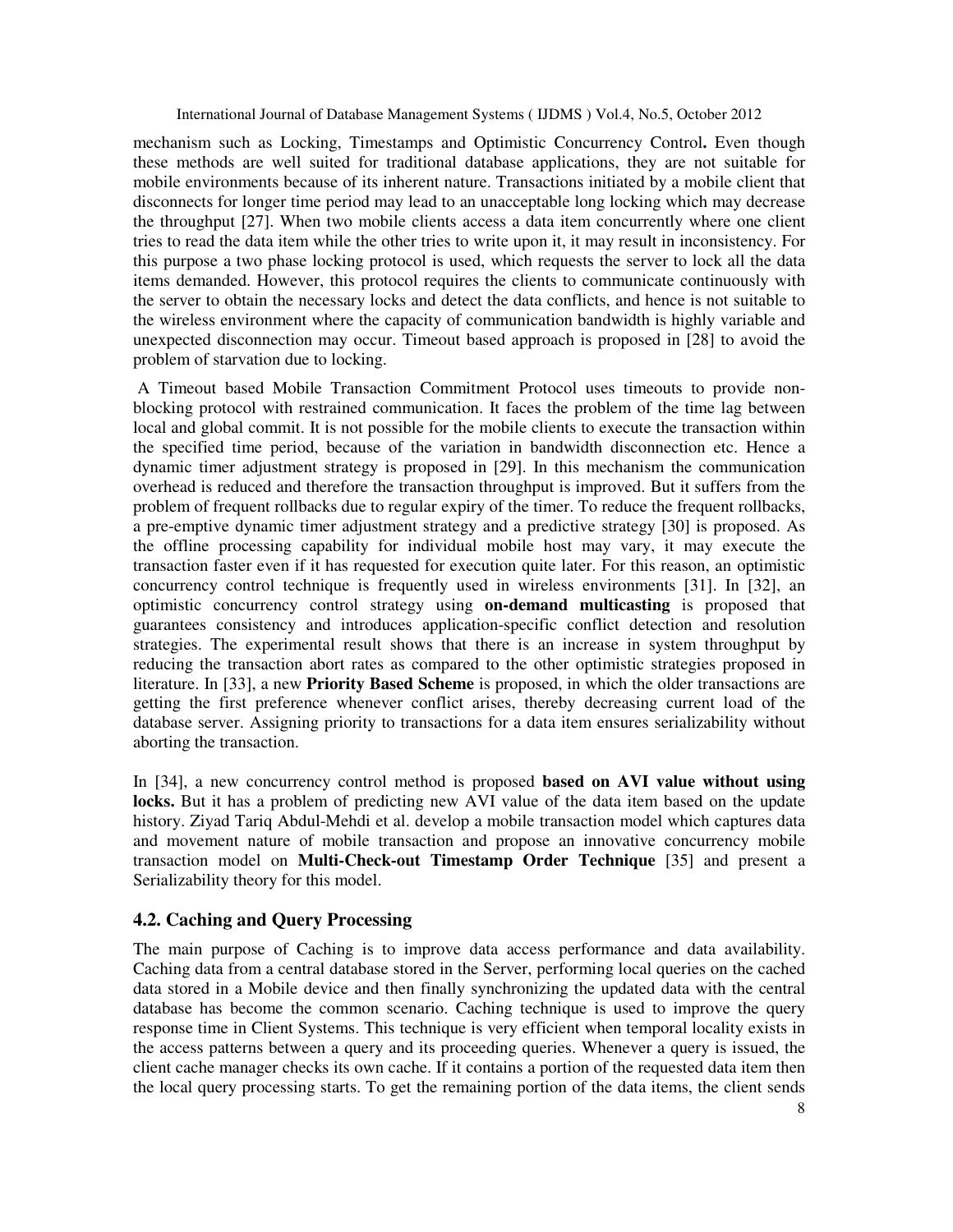mechanism such as Locking, Timestamps and Optimistic Concurrency Control**.** Even though these methods are well suited for traditional database applications, they are not suitable for mobile environments because of its inherent nature. Transactions initiated by a mobile client that disconnects for longer time period may lead to an unacceptable long locking which may decrease the throughput [27]. When two mobile clients access a data item concurrently where one client tries to read the data item while the other tries to write upon it, it may result in inconsistency. For this purpose a two phase locking protocol is used, which requests the server to lock all the data items demanded. However, this protocol requires the clients to communicate continuously with the server to obtain the necessary locks and detect the data conflicts, and hence is not suitable to the wireless environment where the capacity of communication bandwidth is highly variable and unexpected disconnection may occur. Timeout based approach is proposed in [28] to avoid the problem of starvation due to locking.

 A Timeout based Mobile Transaction Commitment Protocol uses timeouts to provide nonblocking protocol with restrained communication. It faces the problem of the time lag between local and global commit. It is not possible for the mobile clients to execute the transaction within the specified time period, because of the variation in bandwidth disconnection etc. Hence a dynamic timer adjustment strategy is proposed in [29]. In this mechanism the communication overhead is reduced and therefore the transaction throughput is improved. But it suffers from the problem of frequent rollbacks due to regular expiry of the timer. To reduce the frequent rollbacks, a pre-emptive dynamic timer adjustment strategy and a predictive strategy [30] is proposed. As the offline processing capability for individual mobile host may vary, it may execute the transaction faster even if it has requested for execution quite later. For this reason, an optimistic concurrency control technique is frequently used in wireless environments [31]. In [32], an optimistic concurrency control strategy using **on-demand multicasting** is proposed that guarantees consistency and introduces application-specific conflict detection and resolution strategies. The experimental result shows that there is an increase in system throughput by reducing the transaction abort rates as compared to the other optimistic strategies proposed in literature. In [33], a new **Priority Based Scheme** is proposed, in which the older transactions are getting the first preference whenever conflict arises, thereby decreasing current load of the database server. Assigning priority to transactions for a data item ensures serializability without aborting the transaction.

In [34], a new concurrency control method is proposed **based on AVI value without using locks.** But it has a problem of predicting new AVI value of the data item based on the update history. Ziyad Tariq Abdul-Mehdi et al. develop a mobile transaction model which captures data and movement nature of mobile transaction and propose an innovative concurrency mobile transaction model on **Multi-Check-out Timestamp Order Technique** [35] and present a Serializability theory for this model.

#### **4.2. Caching and Query Processing**

The main purpose of Caching is to improve data access performance and data availability. Caching data from a central database stored in the Server, performing local queries on the cached data stored in a Mobile device and then finally synchronizing the updated data with the central database has become the common scenario. Caching technique is used to improve the query response time in Client Systems. This technique is very efficient when temporal locality exists in the access patterns between a query and its proceeding queries. Whenever a query is issued, the client cache manager checks its own cache. If it contains a portion of the requested data item then the local query processing starts. To get the remaining portion of the data items, the client sends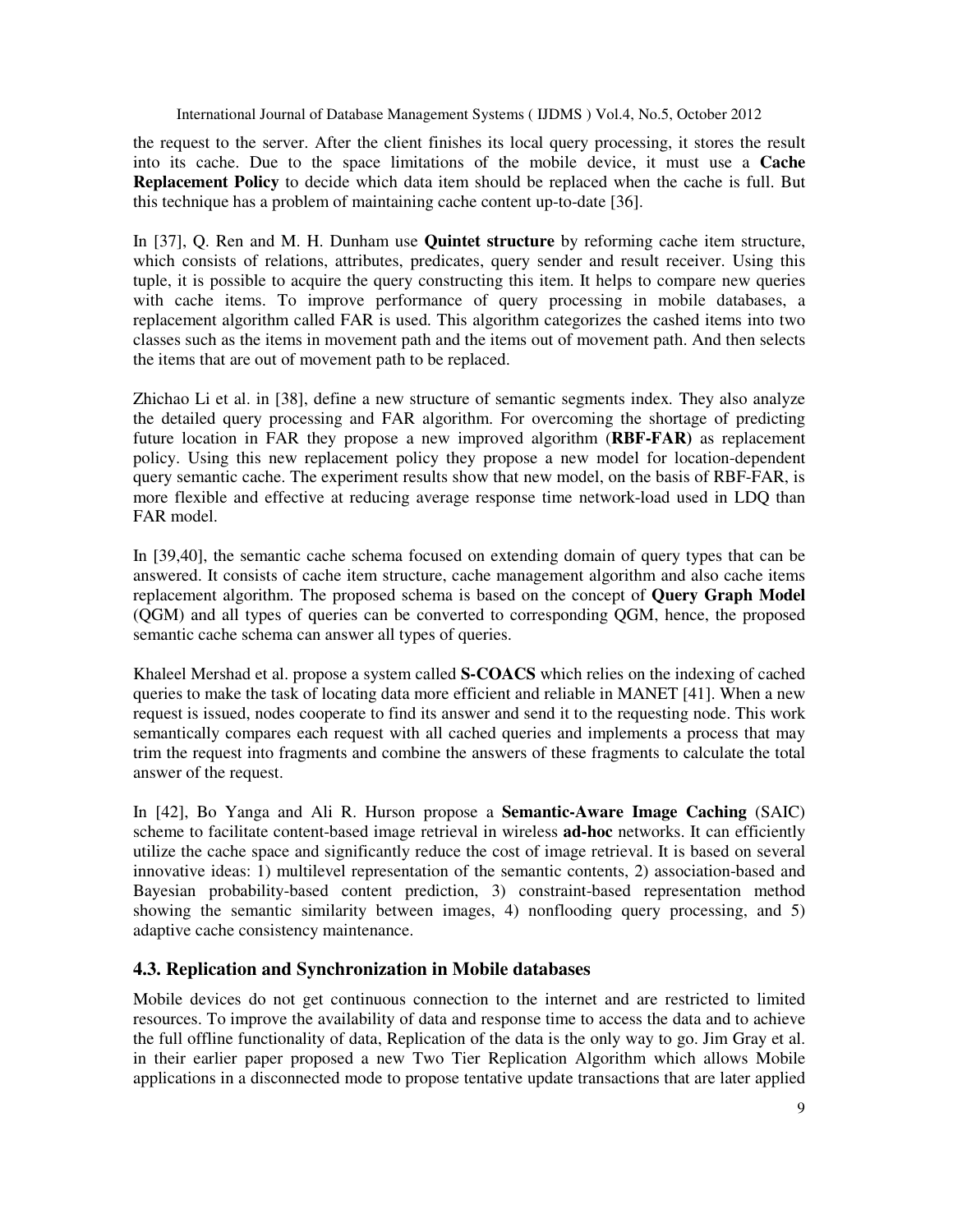the request to the server. After the client finishes its local query processing, it stores the result into its cache. Due to the space limitations of the mobile device, it must use a **Cache Replacement Policy** to decide which data item should be replaced when the cache is full. But this technique has a problem of maintaining cache content up-to-date [36].

In [37], Q. Ren and M. H. Dunham use **Quintet structure** by reforming cache item structure, which consists of relations, attributes, predicates, query sender and result receiver. Using this tuple, it is possible to acquire the query constructing this item. It helps to compare new queries with cache items. To improve performance of query processing in mobile databases, a replacement algorithm called FAR is used. This algorithm categorizes the cashed items into two classes such as the items in movement path and the items out of movement path. And then selects the items that are out of movement path to be replaced.

Zhichao Li et al. in [38], define a new structure of semantic segments index*.* They also analyze the detailed query processing and FAR algorithm. For overcoming the shortage of predicting future location in FAR they propose a new improved algorithm (**RBF-FAR)** as replacement policy. Using this new replacement policy they propose a new model for location-dependent query semantic cache. The experiment results show that new model, on the basis of RBF-FAR, is more flexible and effective at reducing average response time network-load used in LDQ than FAR model.

In [39,40], the semantic cache schema focused on extending domain of query types that can be answered. It consists of cache item structure, cache management algorithm and also cache items replacement algorithm. The proposed schema is based on the concept of **Query Graph Model**  (QGM) and all types of queries can be converted to corresponding QGM, hence, the proposed semantic cache schema can answer all types of queries.

Khaleel Mershad et al. propose a system called **S-COACS** which relies on the indexing of cached queries to make the task of locating data more efficient and reliable in MANET [41]. When a new request is issued, nodes cooperate to find its answer and send it to the requesting node. This work semantically compares each request with all cached queries and implements a process that may trim the request into fragments and combine the answers of these fragments to calculate the total answer of the request.

In [42], Bo Yanga and Ali R. Hurson propose a **Semantic-Aware Image Caching** (SAIC) scheme to facilitate content-based image retrieval in wireless **ad-hoc** networks. It can efficiently utilize the cache space and significantly reduce the cost of image retrieval. It is based on several innovative ideas: 1) multilevel representation of the semantic contents, 2) association-based and Bayesian probability-based content prediction, 3) constraint-based representation method showing the semantic similarity between images, 4) nonflooding query processing, and 5) adaptive cache consistency maintenance.

#### **4.3. Replication and Synchronization in Mobile databases**

Mobile devices do not get continuous connection to the internet and are restricted to limited resources. To improve the availability of data and response time to access the data and to achieve the full offline functionality of data, Replication of the data is the only way to go. Jim Gray et al. in their earlier paper proposed a new Two Tier Replication Algorithm which allows Mobile applications in a disconnected mode to propose tentative update transactions that are later applied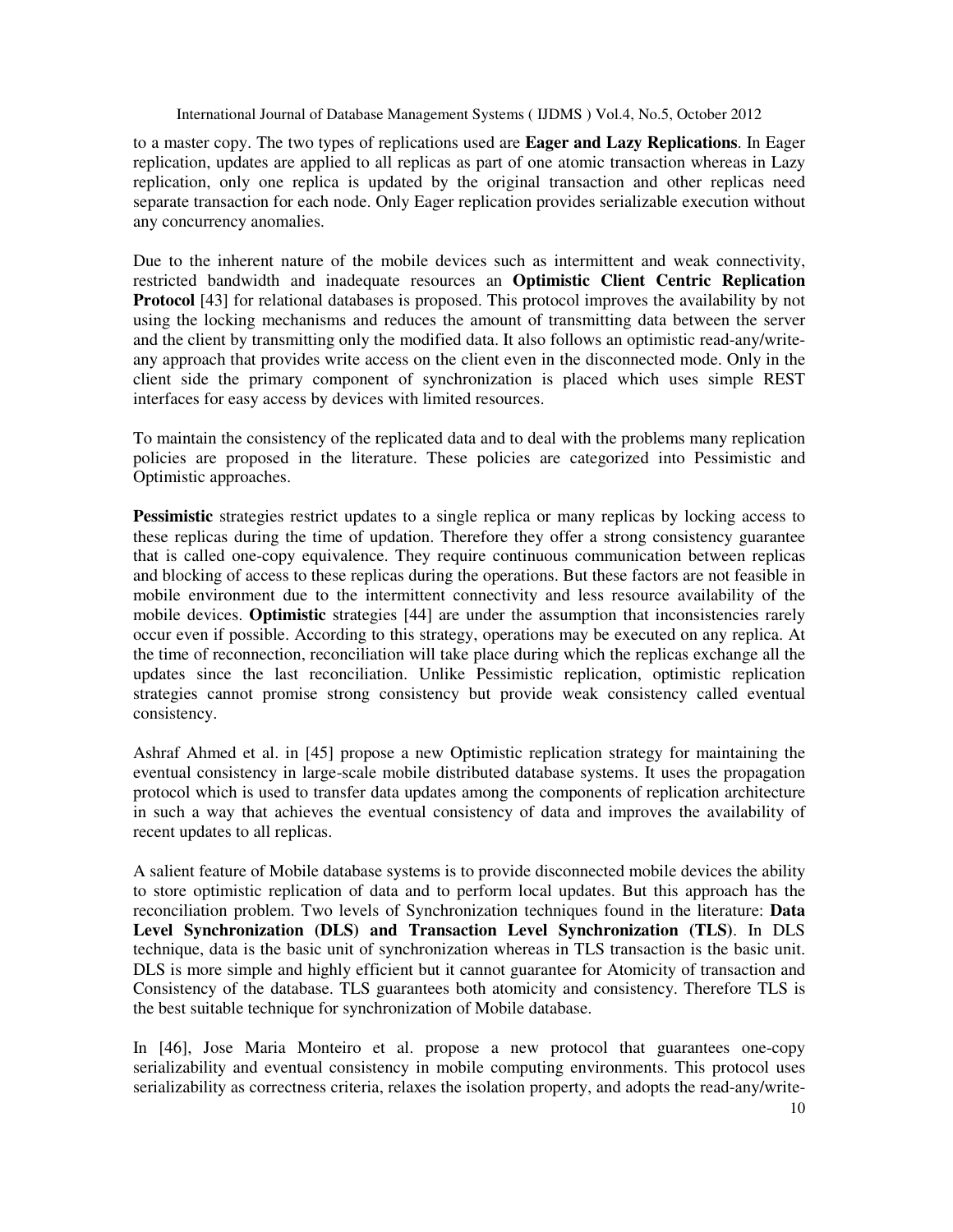to a master copy. The two types of replications used are **Eager and Lazy Replications**. In Eager replication, updates are applied to all replicas as part of one atomic transaction whereas in Lazy replication, only one replica is updated by the original transaction and other replicas need separate transaction for each node. Only Eager replication provides serializable execution without any concurrency anomalies.

Due to the inherent nature of the mobile devices such as intermittent and weak connectivity, restricted bandwidth and inadequate resources an **Optimistic Client Centric Replication Protocol** [43] for relational databases is proposed. This protocol improves the availability by not using the locking mechanisms and reduces the amount of transmitting data between the server and the client by transmitting only the modified data. It also follows an optimistic read-any/writeany approach that provides write access on the client even in the disconnected mode. Only in the client side the primary component of synchronization is placed which uses simple REST interfaces for easy access by devices with limited resources.

To maintain the consistency of the replicated data and to deal with the problems many replication policies are proposed in the literature. These policies are categorized into Pessimistic and Optimistic approaches.

**Pessimistic** strategies restrict updates to a single replica or many replicas by locking access to these replicas during the time of updation. Therefore they offer a strong consistency guarantee that is called one-copy equivalence. They require continuous communication between replicas and blocking of access to these replicas during the operations. But these factors are not feasible in mobile environment due to the intermittent connectivity and less resource availability of the mobile devices. **Optimistic** strategies [44] are under the assumption that inconsistencies rarely occur even if possible. According to this strategy, operations may be executed on any replica. At the time of reconnection, reconciliation will take place during which the replicas exchange all the updates since the last reconciliation. Unlike Pessimistic replication, optimistic replication strategies cannot promise strong consistency but provide weak consistency called eventual consistency.

Ashraf Ahmed et al. in [45] propose a new Optimistic replication strategy for maintaining the eventual consistency in large-scale mobile distributed database systems. It uses the propagation protocol which is used to transfer data updates among the components of replication architecture in such a way that achieves the eventual consistency of data and improves the availability of recent updates to all replicas.

A salient feature of Mobile database systems is to provide disconnected mobile devices the ability to store optimistic replication of data and to perform local updates. But this approach has the reconciliation problem. Two levels of Synchronization techniques found in the literature: **Data Level Synchronization (DLS) and Transaction Level Synchronization (TLS)**. In DLS technique, data is the basic unit of synchronization whereas in TLS transaction is the basic unit. DLS is more simple and highly efficient but it cannot guarantee for Atomicity of transaction and Consistency of the database. TLS guarantees both atomicity and consistency. Therefore TLS is the best suitable technique for synchronization of Mobile database.

In [46], Jose Maria Monteiro et al. propose a new protocol that guarantees one-copy serializability and eventual consistency in mobile computing environments. This protocol uses serializability as correctness criteria, relaxes the isolation property, and adopts the read-any/write-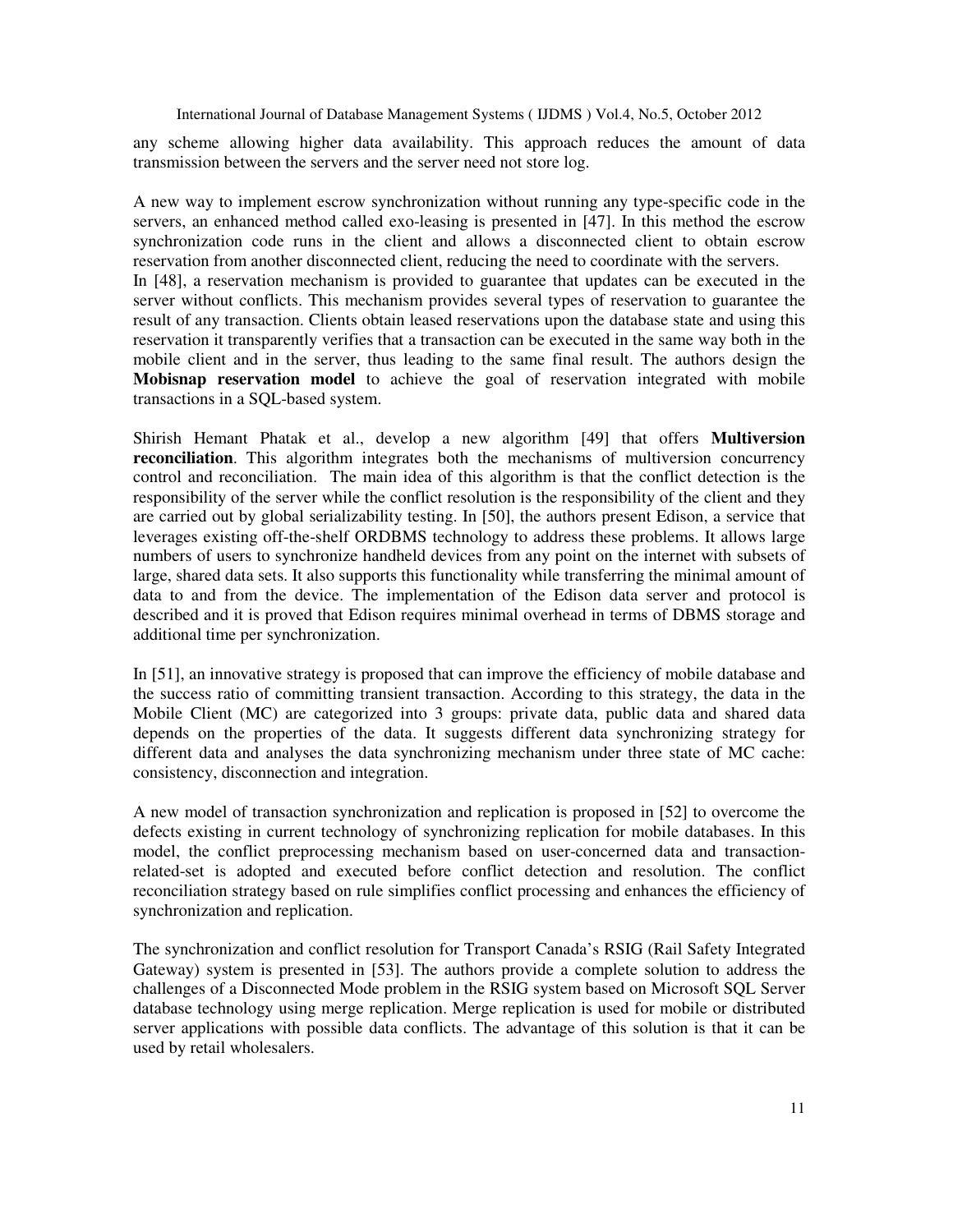any scheme allowing higher data availability. This approach reduces the amount of data transmission between the servers and the server need not store log.

A new way to implement escrow synchronization without running any type-specific code in the servers, an enhanced method called exo-leasing is presented in [47]. In this method the escrow synchronization code runs in the client and allows a disconnected client to obtain escrow reservation from another disconnected client, reducing the need to coordinate with the servers. In [48], a reservation mechanism is provided to guarantee that updates can be executed in the server without conflicts. This mechanism provides several types of reservation to guarantee the result of any transaction. Clients obtain leased reservations upon the database state and using this reservation it transparently verifies that a transaction can be executed in the same way both in the mobile client and in the server, thus leading to the same final result. The authors design the **Mobisnap reservation model** to achieve the goal of reservation integrated with mobile transactions in a SQL-based system.

Shirish Hemant Phatak et al., develop a new algorithm [49] that offers **Multiversion reconciliation**. This algorithm integrates both the mechanisms of multiversion concurrency control and reconciliation. The main idea of this algorithm is that the conflict detection is the responsibility of the server while the conflict resolution is the responsibility of the client and they are carried out by global serializability testing. In [50], the authors present Edison, a service that leverages existing off-the-shelf ORDBMS technology to address these problems. It allows large numbers of users to synchronize handheld devices from any point on the internet with subsets of large, shared data sets. It also supports this functionality while transferring the minimal amount of data to and from the device. The implementation of the Edison data server and protocol is described and it is proved that Edison requires minimal overhead in terms of DBMS storage and additional time per synchronization.

In [51], an innovative strategy is proposed that can improve the efficiency of mobile database and the success ratio of committing transient transaction. According to this strategy, the data in the Mobile Client (MC) are categorized into 3 groups: private data, public data and shared data depends on the properties of the data. It suggests different data synchronizing strategy for different data and analyses the data synchronizing mechanism under three state of MC cache: consistency, disconnection and integration.

A new model of transaction synchronization and replication is proposed in [52] to overcome the defects existing in current technology of synchronizing replication for mobile databases. In this model, the conflict preprocessing mechanism based on user-concerned data and transactionrelated-set is adopted and executed before conflict detection and resolution. The conflict reconciliation strategy based on rule simplifies conflict processing and enhances the efficiency of synchronization and replication.

The synchronization and conflict resolution for Transport Canada's RSIG (Rail Safety Integrated Gateway) system is presented in [53]. The authors provide a complete solution to address the challenges of a Disconnected Mode problem in the RSIG system based on Microsoft SQL Server database technology using merge replication. Merge replication is used for mobile or distributed server applications with possible data conflicts. The advantage of this solution is that it can be used by retail wholesalers.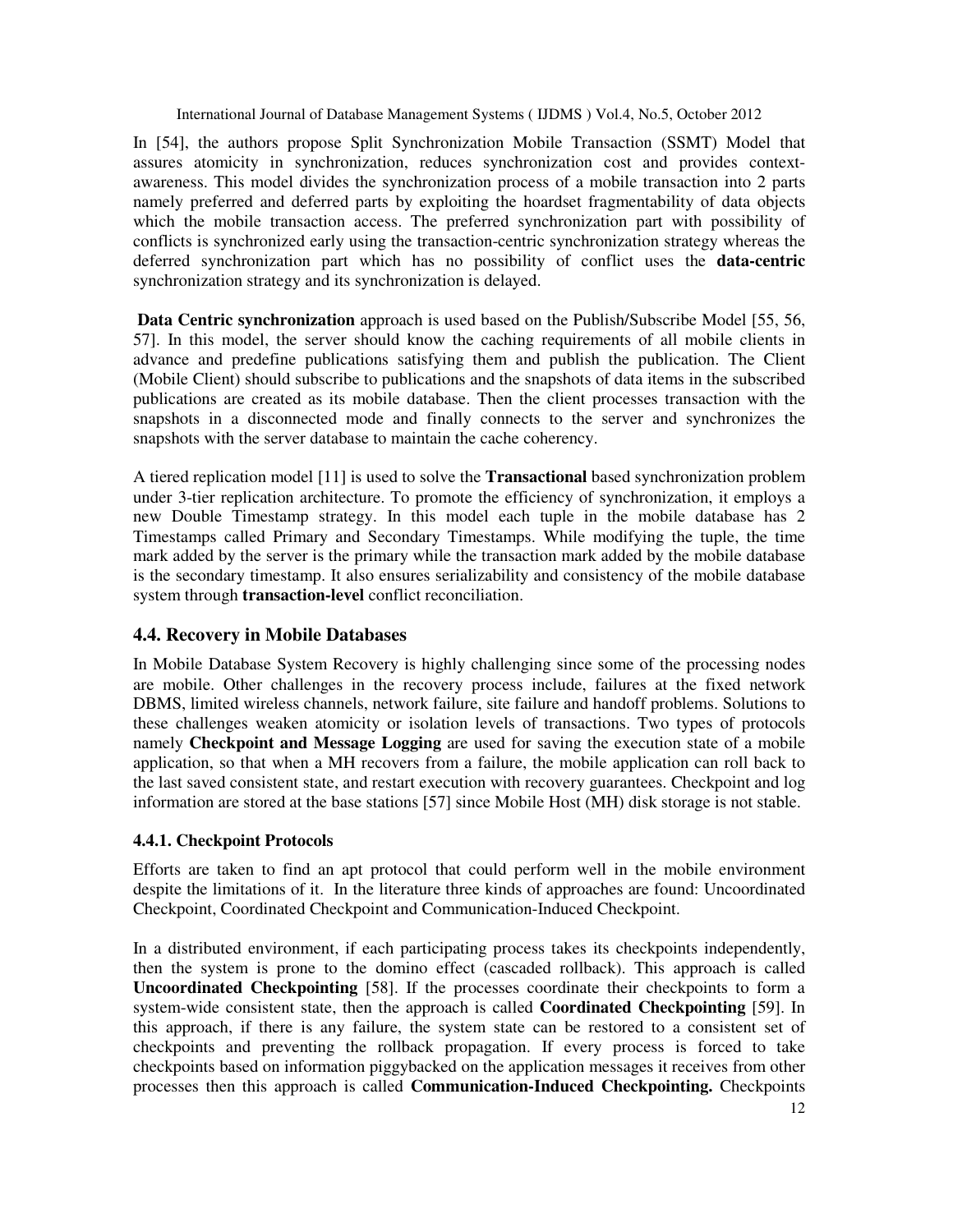In [54], the authors propose Split Synchronization Mobile Transaction (SSMT) Model that assures atomicity in synchronization, reduces synchronization cost and provides contextawareness. This model divides the synchronization process of a mobile transaction into 2 parts namely preferred and deferred parts by exploiting the hoardset fragmentability of data objects which the mobile transaction access. The preferred synchronization part with possibility of conflicts is synchronized early using the transaction-centric synchronization strategy whereas the deferred synchronization part which has no possibility of conflict uses the **data-centric** synchronization strategy and its synchronization is delayed.

**Data Centric synchronization** approach is used based on the Publish/Subscribe Model [55, 56, 57]. In this model, the server should know the caching requirements of all mobile clients in advance and predefine publications satisfying them and publish the publication. The Client (Mobile Client) should subscribe to publications and the snapshots of data items in the subscribed publications are created as its mobile database. Then the client processes transaction with the snapshots in a disconnected mode and finally connects to the server and synchronizes the snapshots with the server database to maintain the cache coherency.

A tiered replication model [11] is used to solve the **Transactional** based synchronization problem under 3-tier replication architecture. To promote the efficiency of synchronization, it employs a new Double Timestamp strategy. In this model each tuple in the mobile database has 2 Timestamps called Primary and Secondary Timestamps. While modifying the tuple, the time mark added by the server is the primary while the transaction mark added by the mobile database is the secondary timestamp. It also ensures serializability and consistency of the mobile database system through **transaction-level** conflict reconciliation.

#### **4.4. Recovery in Mobile Databases**

In Mobile Database System Recovery is highly challenging since some of the processing nodes are mobile. Other challenges in the recovery process include, failures at the fixed network DBMS, limited wireless channels, network failure, site failure and handoff problems. Solutions to these challenges weaken atomicity or isolation levels of transactions. Two types of protocols namely **Checkpoint and Message Logging** are used for saving the execution state of a mobile application, so that when a MH recovers from a failure, the mobile application can roll back to the last saved consistent state, and restart execution with recovery guarantees. Checkpoint and log information are stored at the base stations [57] since Mobile Host (MH) disk storage is not stable.

#### **4.4.1. Checkpoint Protocols**

Efforts are taken to find an apt protocol that could perform well in the mobile environment despite the limitations of it. In the literature three kinds of approaches are found: Uncoordinated Checkpoint, Coordinated Checkpoint and Communication-Induced Checkpoint.

In a distributed environment, if each participating process takes its checkpoints independently, then the system is prone to the domino effect (cascaded rollback). This approach is called **Uncoordinated Checkpointing** [58]. If the processes coordinate their checkpoints to form a system-wide consistent state, then the approach is called **Coordinated Checkpointing** [59]. In this approach, if there is any failure, the system state can be restored to a consistent set of checkpoints and preventing the rollback propagation. If every process is forced to take checkpoints based on information piggybacked on the application messages it receives from other processes then this approach is called **Communication-Induced Checkpointing.** Checkpoints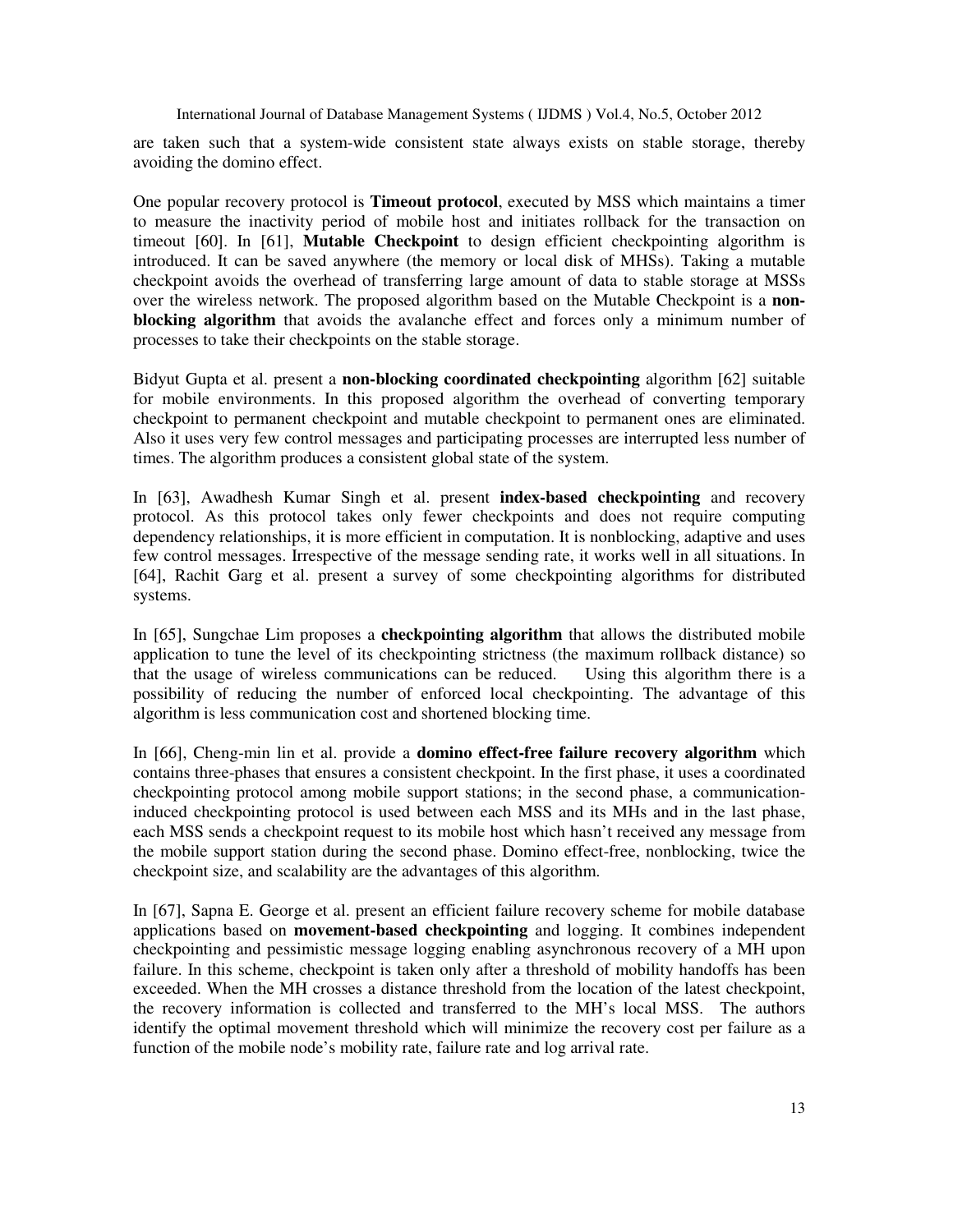are taken such that a system-wide consistent state always exists on stable storage, thereby avoiding the domino effect.

One popular recovery protocol is **Timeout protocol**, executed by MSS which maintains a timer to measure the inactivity period of mobile host and initiates rollback for the transaction on timeout [60]. In [61], **Mutable Checkpoint** to design efficient checkpointing algorithm is introduced. It can be saved anywhere (the memory or local disk of MHSs). Taking a mutable checkpoint avoids the overhead of transferring large amount of data to stable storage at MSSs over the wireless network. The proposed algorithm based on the Mutable Checkpoint is a **nonblocking algorithm** that avoids the avalanche effect and forces only a minimum number of processes to take their checkpoints on the stable storage.

Bidyut Gupta et al. present a **non-blocking coordinated checkpointing** algorithm [62] suitable for mobile environments. In this proposed algorithm the overhead of converting temporary checkpoint to permanent checkpoint and mutable checkpoint to permanent ones are eliminated. Also it uses very few control messages and participating processes are interrupted less number of times. The algorithm produces a consistent global state of the system.

In [63], Awadhesh Kumar Singh et al. present **index-based checkpointing** and recovery protocol. As this protocol takes only fewer checkpoints and does not require computing dependency relationships, it is more efficient in computation. It is nonblocking, adaptive and uses few control messages. Irrespective of the message sending rate, it works well in all situations. In [64], Rachit Garg et al. present a survey of some checkpointing algorithms for distributed systems.

In [65], Sungchae Lim proposes a **checkpointing algorithm** that allows the distributed mobile application to tune the level of its checkpointing strictness (the maximum rollback distance) so that the usage of wireless communications can be reduced. Using this algorithm there is a possibility of reducing the number of enforced local checkpointing. The advantage of this algorithm is less communication cost and shortened blocking time.

In [66], Cheng-min lin et al. provide a **domino effect-free failure recovery algorithm** which contains three-phases that ensures a consistent checkpoint. In the first phase, it uses a coordinated checkpointing protocol among mobile support stations; in the second phase, a communicationinduced checkpointing protocol is used between each MSS and its MHs and in the last phase, each MSS sends a checkpoint request to its mobile host which hasn't received any message from the mobile support station during the second phase. Domino effect-free, nonblocking, twice the checkpoint size, and scalability are the advantages of this algorithm.

In [67], Sapna E. George et al. present an efficient failure recovery scheme for mobile database applications based on **movement-based checkpointing** and logging. It combines independent checkpointing and pessimistic message logging enabling asynchronous recovery of a MH upon failure. In this scheme, checkpoint is taken only after a threshold of mobility handoffs has been exceeded. When the MH crosses a distance threshold from the location of the latest checkpoint, the recovery information is collected and transferred to the MH's local MSS. The authors identify the optimal movement threshold which will minimize the recovery cost per failure as a function of the mobile node's mobility rate, failure rate and log arrival rate.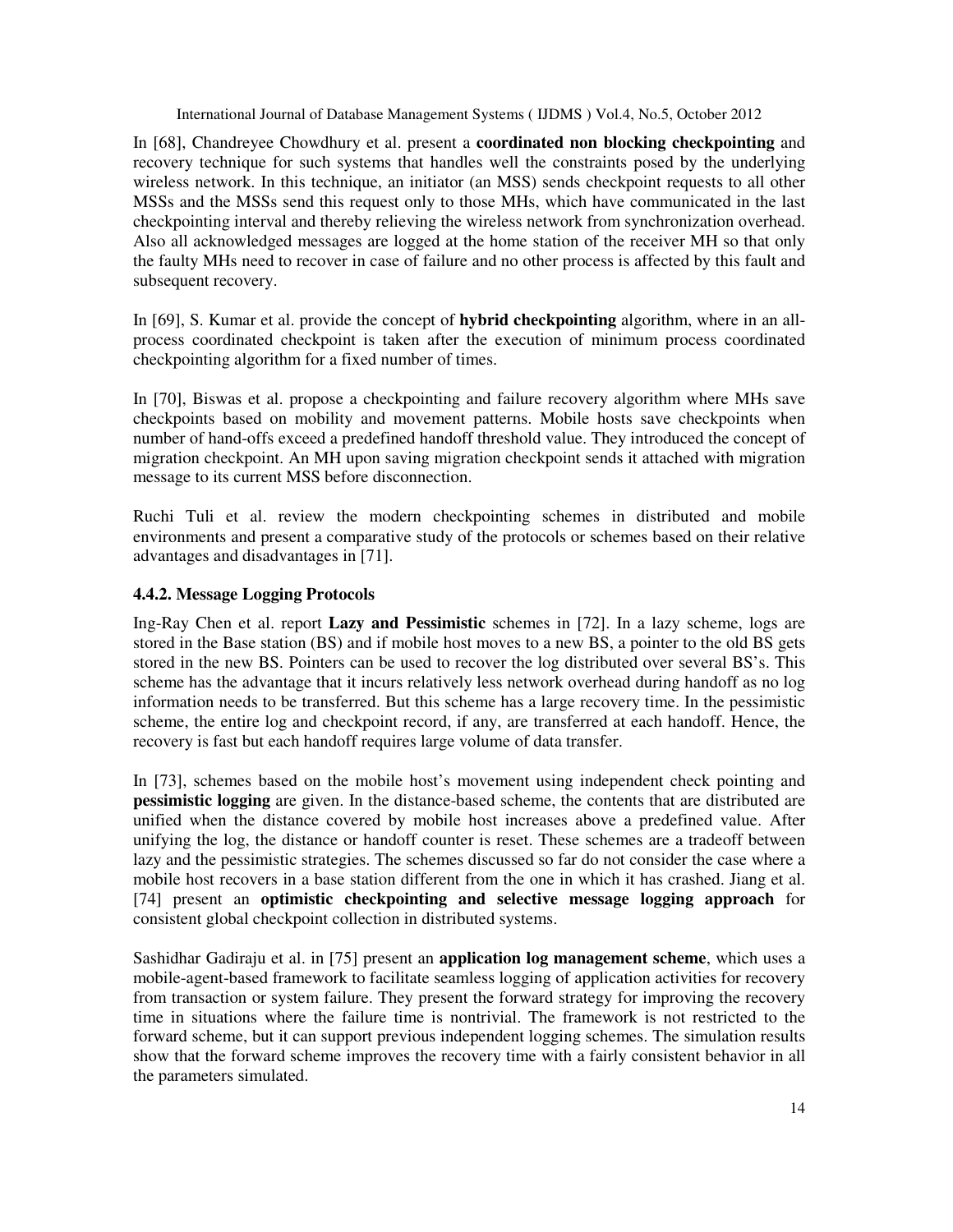In [68], Chandreyee Chowdhury et al. present a **coordinated non blocking checkpointing** and recovery technique for such systems that handles well the constraints posed by the underlying wireless network. In this technique, an initiator (an MSS) sends checkpoint requests to all other MSSs and the MSSs send this request only to those MHs, which have communicated in the last checkpointing interval and thereby relieving the wireless network from synchronization overhead. Also all acknowledged messages are logged at the home station of the receiver MH so that only the faulty MHs need to recover in case of failure and no other process is affected by this fault and subsequent recovery.

In [69], S. Kumar et al. provide the concept of **hybrid checkpointing** algorithm, where in an allprocess coordinated checkpoint is taken after the execution of minimum process coordinated checkpointing algorithm for a fixed number of times.

In [70], Biswas et al. propose a checkpointing and failure recovery algorithm where MHs save checkpoints based on mobility and movement patterns. Mobile hosts save checkpoints when number of hand-offs exceed a predefined handoff threshold value. They introduced the concept of migration checkpoint. An MH upon saving migration checkpoint sends it attached with migration message to its current MSS before disconnection.

Ruchi Tuli et al. review the modern checkpointing schemes in distributed and mobile environments and present a comparative study of the protocols or schemes based on their relative advantages and disadvantages in [71].

#### **4.4.2. Message Logging Protocols**

Ing-Ray Chen et al. report **Lazy and Pessimistic** schemes in [72]. In a lazy scheme, logs are stored in the Base station (BS) and if mobile host moves to a new BS, a pointer to the old BS gets stored in the new BS. Pointers can be used to recover the log distributed over several BS's. This scheme has the advantage that it incurs relatively less network overhead during handoff as no log information needs to be transferred. But this scheme has a large recovery time. In the pessimistic scheme, the entire log and checkpoint record, if any, are transferred at each handoff. Hence, the recovery is fast but each handoff requires large volume of data transfer.

In [73], schemes based on the mobile host's movement using independent check pointing and **pessimistic logging** are given. In the distance-based scheme, the contents that are distributed are unified when the distance covered by mobile host increases above a predefined value. After unifying the log, the distance or handoff counter is reset. These schemes are a tradeoff between lazy and the pessimistic strategies. The schemes discussed so far do not consider the case where a mobile host recovers in a base station different from the one in which it has crashed. Jiang et al. [74] present an **optimistic checkpointing and selective message logging approach** for consistent global checkpoint collection in distributed systems.

Sashidhar Gadiraju et al. in [75] present an **application log management scheme**, which uses a mobile-agent-based framework to facilitate seamless logging of application activities for recovery from transaction or system failure. They present the forward strategy for improving the recovery time in situations where the failure time is nontrivial. The framework is not restricted to the forward scheme, but it can support previous independent logging schemes. The simulation results show that the forward scheme improves the recovery time with a fairly consistent behavior in all the parameters simulated.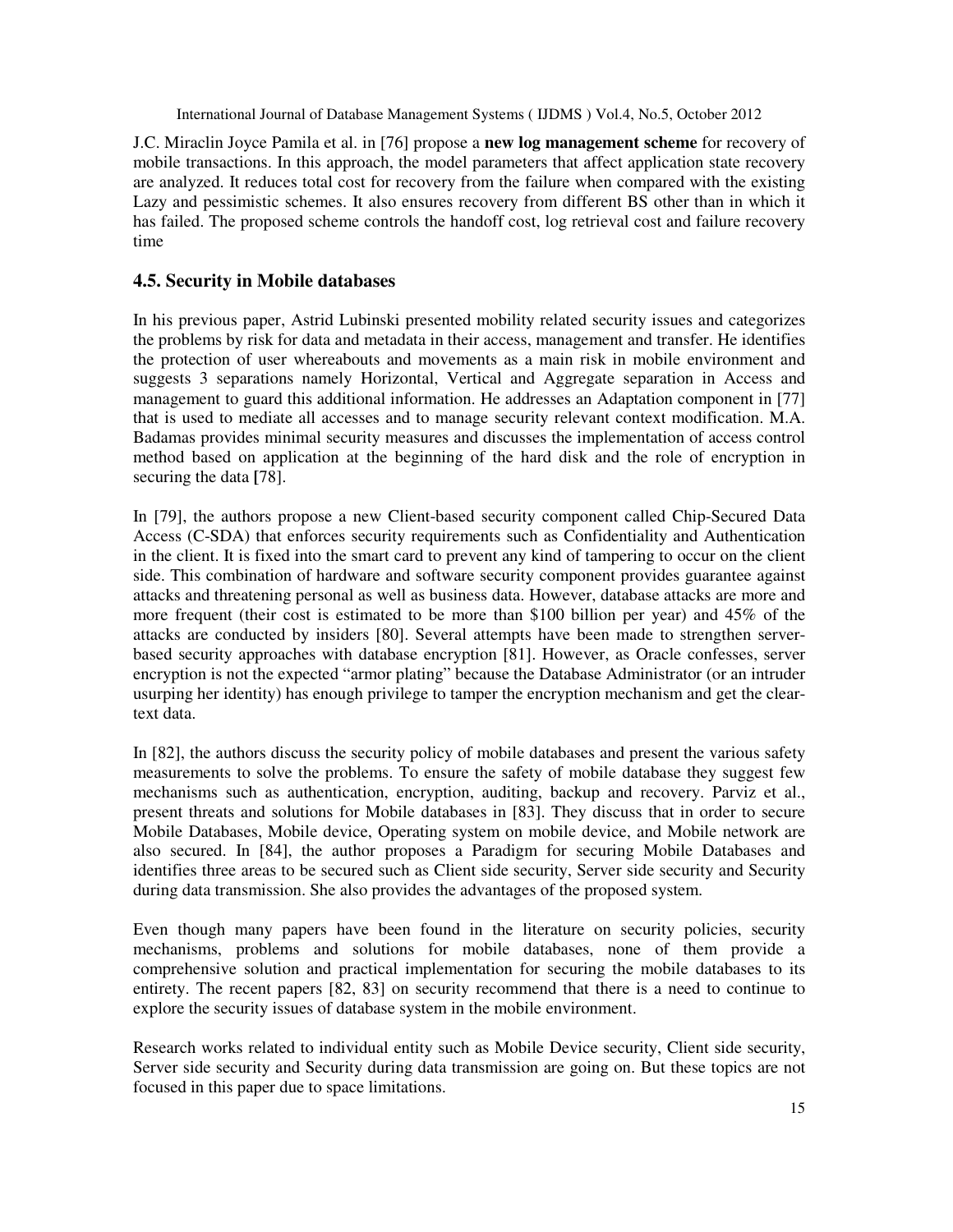J.C. Miraclin Joyce Pamila et al. in [76] propose a **new log management scheme** for recovery of mobile transactions. In this approach, the model parameters that affect application state recovery are analyzed. It reduces total cost for recovery from the failure when compared with the existing Lazy and pessimistic schemes. It also ensures recovery from different BS other than in which it has failed. The proposed scheme controls the handoff cost, log retrieval cost and failure recovery time

#### **4.5. Security in Mobile databases**

In his previous paper, Astrid Lubinski presented mobility related security issues and categorizes the problems by risk for data and metadata in their access, management and transfer. He identifies the protection of user whereabouts and movements as a main risk in mobile environment and suggests 3 separations namely Horizontal, Vertical and Aggregate separation in Access and management to guard this additional information. He addresses an Adaptation component in [77] that is used to mediate all accesses and to manage security relevant context modification. M.A. Badamas provides minimal security measures and discusses the implementation of access control method based on application at the beginning of the hard disk and the role of encryption in securing the data **[**78].

In [79], the authors propose a new Client-based security component called Chip-Secured Data Access (C-SDA) that enforces security requirements such as Confidentiality and Authentication in the client. It is fixed into the smart card to prevent any kind of tampering to occur on the client side. This combination of hardware and software security component provides guarantee against attacks and threatening personal as well as business data. However, database attacks are more and more frequent (their cost is estimated to be more than \$100 billion per year) and 45% of the attacks are conducted by insiders [80]. Several attempts have been made to strengthen serverbased security approaches with database encryption [81]. However, as Oracle confesses, server encryption is not the expected "armor plating" because the Database Administrator (or an intruder usurping her identity) has enough privilege to tamper the encryption mechanism and get the cleartext data.

In [82], the authors discuss the security policy of mobile databases and present the various safety measurements to solve the problems. To ensure the safety of mobile database they suggest few mechanisms such as authentication, encryption, auditing, backup and recovery. Parviz et al., present threats and solutions for Mobile databases in [83]. They discuss that in order to secure Mobile Databases, Mobile device, Operating system on mobile device, and Mobile network are also secured. In [84], the author proposes a Paradigm for securing Mobile Databases and identifies three areas to be secured such as Client side security, Server side security and Security during data transmission. She also provides the advantages of the proposed system.

Even though many papers have been found in the literature on security policies, security mechanisms, problems and solutions for mobile databases, none of them provide a comprehensive solution and practical implementation for securing the mobile databases to its entirety. The recent papers [82, 83] on security recommend that there is a need to continue to explore the security issues of database system in the mobile environment.

Research works related to individual entity such as Mobile Device security, Client side security, Server side security and Security during data transmission are going on. But these topics are not focused in this paper due to space limitations.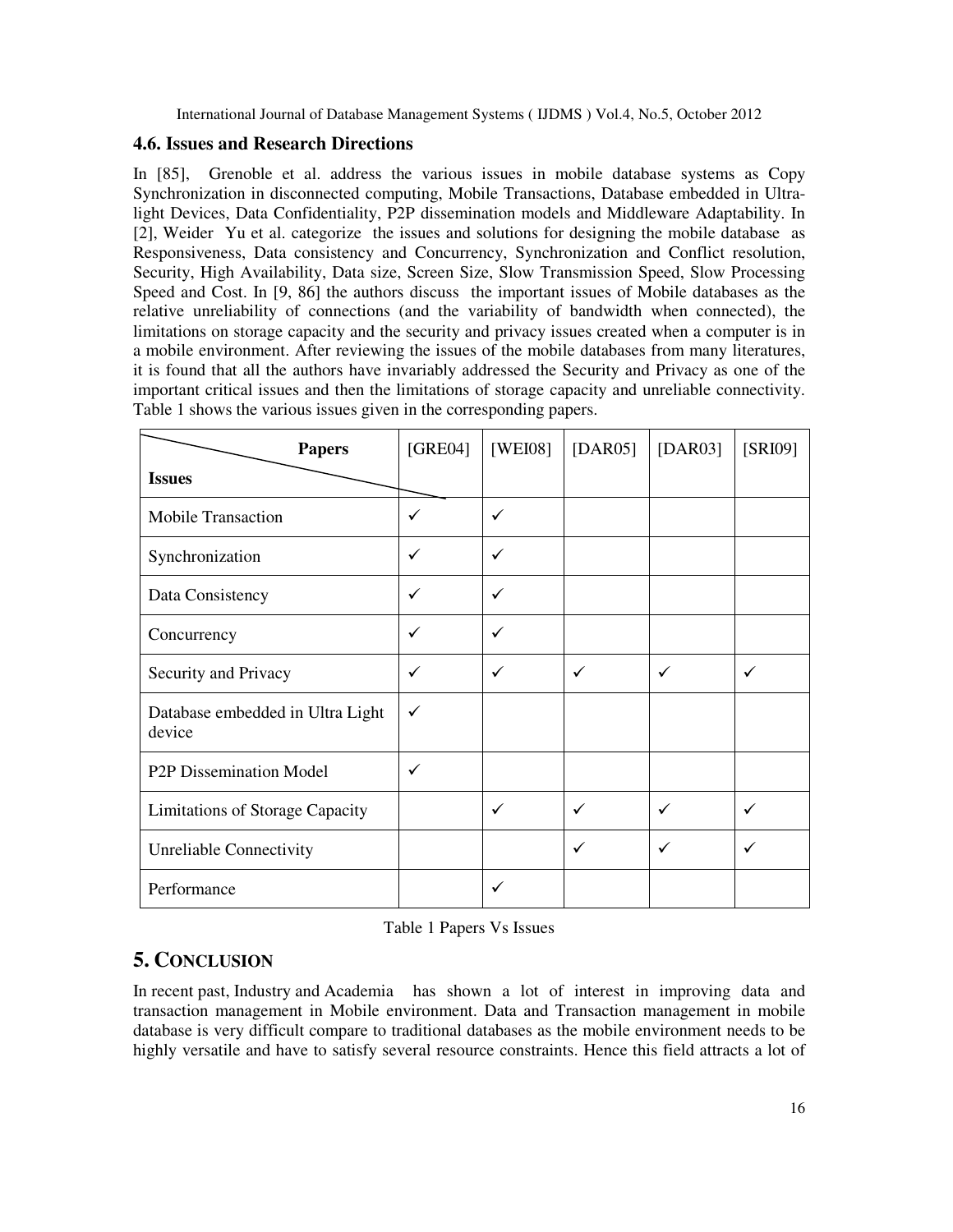#### **4.6. Issues and Research Directions**

In [85], Grenoble et al. address the various issues in mobile database systems as Copy Synchronization in disconnected computing, Mobile Transactions, Database embedded in Ultralight Devices, Data Confidentiality, P2P dissemination models and Middleware Adaptability. In [2], Weider Yu et al. categorize the issues and solutions for designing the mobile database as Responsiveness, Data consistency and Concurrency, Synchronization and Conflict resolution, Security, High Availability, Data size, Screen Size, Slow Transmission Speed, Slow Processing Speed and Cost. In [9, 86] the authors discuss the important issues of Mobile databases as the relative unreliability of connections (and the variability of bandwidth when connected), the limitations on storage capacity and the security and privacy issues created when a computer is in a mobile environment. After reviewing the issues of the mobile databases from many literatures, it is found that all the authors have invariably addressed the Security and Privacy as one of the important critical issues and then the limitations of storage capacity and unreliable connectivity. Table 1 shows the various issues given in the corresponding papers.

| <b>Papers</b>                              | [GRE04]      | [WEI08]      | [DAR05]      | [DAR03] | [SRI09]      |
|--------------------------------------------|--------------|--------------|--------------|---------|--------------|
| <b>Issues</b>                              |              |              |              |         |              |
| <b>Mobile Transaction</b>                  | ✓            | $\checkmark$ |              |         |              |
| Synchronization                            | ✓            | ✓            |              |         |              |
| Data Consistency                           | $\checkmark$ | ✓            |              |         |              |
| Concurrency                                | $\checkmark$ | ✓            |              |         |              |
| Security and Privacy                       | $\checkmark$ | ✓            | $\checkmark$ | ✓       | $\checkmark$ |
| Database embedded in Ultra Light<br>device | $\checkmark$ |              |              |         |              |
| P2P Dissemination Model                    | ✓            |              |              |         |              |
| <b>Limitations of Storage Capacity</b>     |              | ✓            | ✓            | ✓       | ✓            |
| Unreliable Connectivity                    |              |              | ✓            | ✓       | ✓            |
| Performance                                |              | ✓            |              |         |              |



# **5. CONCLUSION**

In recent past, Industry and Academia has shown a lot of interest in improving data and transaction management in Mobile environment. Data and Transaction management in mobile database is very difficult compare to traditional databases as the mobile environment needs to be highly versatile and have to satisfy several resource constraints. Hence this field attracts a lot of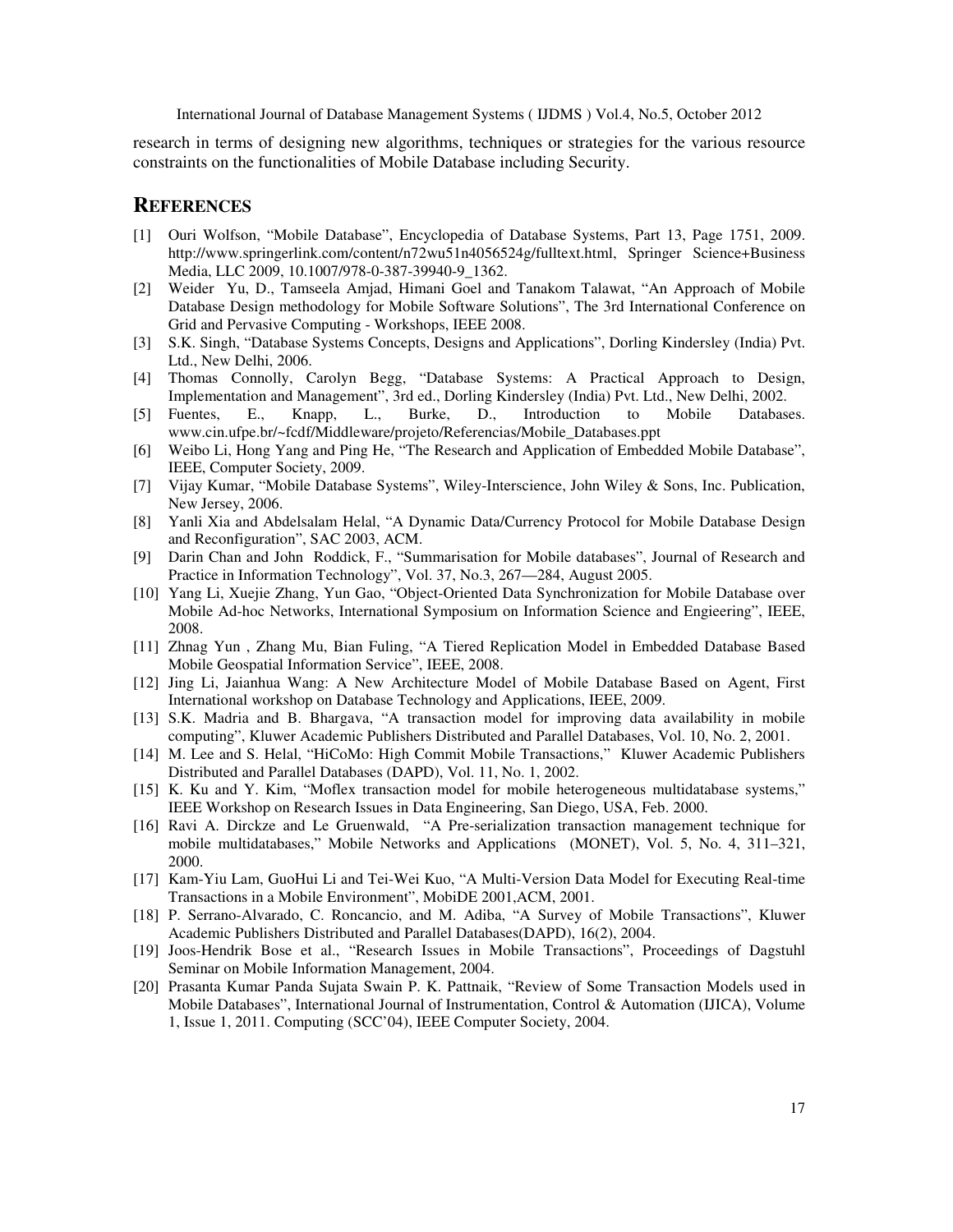research in terms of designing new algorithms, techniques or strategies for the various resource constraints on the functionalities of Mobile Database including Security.

#### **REFERENCES**

- [1] Ouri Wolfson, "Mobile Database", Encyclopedia of Database Systems, Part 13, Page 1751, 2009. http://www.springerlink.com/content/n72wu51n4056524g/fulltext.html, Springer Science+Business Media, LLC 2009, 10.1007/978-0-387-39940-9\_1362.
- [2] Weider Yu, D., Tamseela Amjad, Himani Goel and Tanakom Talawat, "An Approach of Mobile Database Design methodology for Mobile Software Solutions", The 3rd International Conference on Grid and Pervasive Computing - Workshops, IEEE 2008.
- [3] S.K. Singh, "Database Systems Concepts, Designs and Applications", Dorling Kindersley (India) Pvt. Ltd., New Delhi, 2006.
- [4] Thomas Connolly, Carolyn Begg, "Database Systems: A Practical Approach to Design, Implementation and Management", 3rd ed., Dorling Kindersley (India) Pvt. Ltd., New Delhi, 2002.
- [5] Fuentes, E., Knapp, L., Burke, D., Introduction to Mobile Databases. www.cin.ufpe.br/~fcdf/Middleware/projeto/Referencias/Mobile\_Databases.ppt
- [6] Weibo Li, Hong Yang and Ping He, "The Research and Application of Embedded Mobile Database", IEEE, Computer Society, 2009.
- [7] Vijay Kumar, "Mobile Database Systems", Wiley-Interscience, John Wiley & Sons, Inc. Publication, New Jersey, 2006.
- [8] Yanli Xia and Abdelsalam Helal, "A Dynamic Data/Currency Protocol for Mobile Database Design and Reconfiguration", SAC 2003, ACM.
- [9] Darin Chan and John Roddick, F., "Summarisation for Mobile databases", Journal of Research and Practice in Information Technology", Vol. 37, No.3, 267—284, August 2005.
- [10] Yang Li, Xuejie Zhang, Yun Gao, "Object-Oriented Data Synchronization for Mobile Database over Mobile Ad-hoc Networks, International Symposium on Information Science and Engieering", IEEE, 2008.
- [11] Zhnag Yun , Zhang Mu, Bian Fuling, "A Tiered Replication Model in Embedded Database Based Mobile Geospatial Information Service", IEEE, 2008.
- [12] Jing Li, Jaianhua Wang: A New Architecture Model of Mobile Database Based on Agent, First International workshop on Database Technology and Applications, IEEE, 2009.
- [13] S.K. Madria and B. Bhargava, "A transaction model for improving data availability in mobile computing", Kluwer Academic Publishers Distributed and Parallel Databases, Vol. 10, No. 2, 2001.
- [14] M. Lee and S. Helal, "HiCoMo: High Commit Mobile Transactions," Kluwer Academic Publishers Distributed and Parallel Databases (DAPD), Vol. 11, No. 1, 2002.
- [15] K. Ku and Y. Kim, "Moflex transaction model for mobile heterogeneous multidatabase systems," IEEE Workshop on Research Issues in Data Engineering, San Diego, USA, Feb. 2000.
- [16] Ravi A. Dirckze and Le Gruenwald, "A Pre-serialization transaction management technique for mobile multidatabases," Mobile Networks and Applications (MONET), Vol. 5, No. 4, 311–321, 2000.
- [17] Kam-Yiu Lam, GuoHui Li and Tei-Wei Kuo, "A Multi-Version Data Model for Executing Real-time Transactions in a Mobile Environment", MobiDE 2001,ACM, 2001.
- [18] P. Serrano-Alvarado, C. Roncancio, and M. Adiba, "A Survey of Mobile Transactions", Kluwer Academic Publishers Distributed and Parallel Databases(DAPD), 16(2), 2004.
- [19] Joos-Hendrik Bose et al., "Research Issues in Mobile Transactions", Proceedings of Dagstuhl Seminar on Mobile Information Management, 2004.
- [20] Prasanta Kumar Panda Sujata Swain P. K. Pattnaik, "Review of Some Transaction Models used in Mobile Databases", International Journal of Instrumentation, Control & Automation (IJICA), Volume 1, Issue 1, 2011. Computing (SCC'04), IEEE Computer Society, 2004.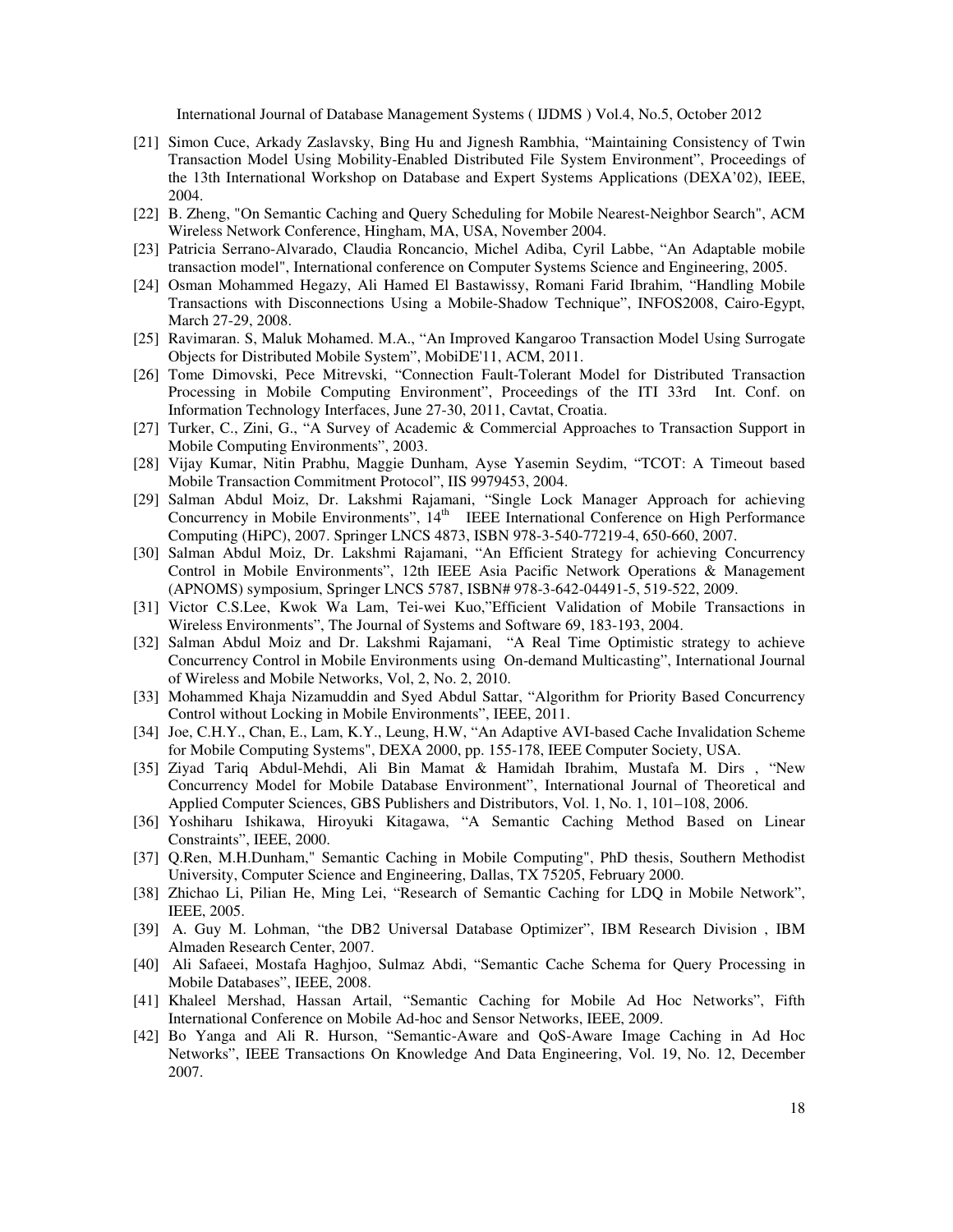- [21] Simon Cuce, Arkady Zaslavsky, Bing Hu and Jignesh Rambhia, "Maintaining Consistency of Twin Transaction Model Using Mobility-Enabled Distributed File System Environment", Proceedings of the 13th International Workshop on Database and Expert Systems Applications (DEXA'02), IEEE, 2004.
- [22] B. Zheng, "On Semantic Caching and Query Scheduling for Mobile Nearest-Neighbor Search", ACM Wireless Network Conference, Hingham, MA, USA, November 2004.
- [23] Patricia Serrano-Alvarado, Claudia Roncancio, Michel Adiba, Cyril Labbe, "An Adaptable mobile transaction model", International conference on Computer Systems Science and Engineering, 2005.
- [24] Osman Mohammed Hegazy, Ali Hamed El Bastawissy, Romani Farid Ibrahim, "Handling Mobile Transactions with Disconnections Using a Mobile-Shadow Technique", INFOS2008, Cairo-Egypt, March 27-29, 2008.
- [25] Ravimaran. S, Maluk Mohamed. M.A., "An Improved Kangaroo Transaction Model Using Surrogate Objects for Distributed Mobile System", MobiDE'11, ACM, 2011.
- [26] Tome Dimovski, Pece Mitrevski, "Connection Fault-Tolerant Model for Distributed Transaction Processing in Mobile Computing Environment", Proceedings of the ITI 33rd Int. Conf. on Information Technology Interfaces, June 27-30, 2011, Cavtat, Croatia.
- [27] Turker, C., Zini, G., "A Survey of Academic & Commercial Approaches to Transaction Support in Mobile Computing Environments", 2003.
- [28] Vijay Kumar, Nitin Prabhu, Maggie Dunham, Ayse Yasemin Seydim, "TCOT: A Timeout based Mobile Transaction Commitment Protocol", IIS 9979453, 2004.
- [29] Salman Abdul Moiz, Dr. Lakshmi Rajamani, "Single Lock Manager Approach for achieving Concurrency in Mobile Environments", 14<sup>th</sup> IEEE International Conference on High Performance Computing (HiPC), 2007. Springer LNCS 4873, ISBN 978-3-540-77219-4, 650-660, 2007.
- [30] Salman Abdul Moiz, Dr. Lakshmi Rajamani, "An Efficient Strategy for achieving Concurrency Control in Mobile Environments", 12th IEEE Asia Pacific Network Operations & Management (APNOMS) symposium, Springer LNCS 5787, ISBN# 978-3-642-04491-5, 519-522, 2009.
- [31] Victor C.S.Lee, Kwok Wa Lam, Tei-wei Kuo,"Efficient Validation of Mobile Transactions in Wireless Environments", The Journal of Systems and Software 69, 183-193, 2004.
- [32] Salman Abdul Moiz and Dr. Lakshmi Rajamani, "A Real Time Optimistic strategy to achieve Concurrency Control in Mobile Environments using On-demand Multicasting", International Journal of Wireless and Mobile Networks, Vol, 2, No. 2, 2010.
- [33] Mohammed Khaja Nizamuddin and Syed Abdul Sattar, "Algorithm for Priority Based Concurrency Control without Locking in Mobile Environments", IEEE, 2011.
- [34] Joe, C.H.Y., Chan, E., Lam, K.Y., Leung, H.W, "An Adaptive AVI-based Cache Invalidation Scheme for Mobile Computing Systems", DEXA 2000, pp. 155-178, IEEE Computer Society, USA.
- [35] Ziyad Tariq Abdul-Mehdi, Ali Bin Mamat & Hamidah Ibrahim, Mustafa M. Dirs , "New Concurrency Model for Mobile Database Environment", International Journal of Theoretical and Applied Computer Sciences, GBS Publishers and Distributors, Vol. 1, No. 1, 101–108, 2006.
- [36] Yoshiharu Ishikawa, Hiroyuki Kitagawa, "A Semantic Caching Method Based on Linear Constraints", IEEE, 2000.
- [37] Q.Ren, M.H.Dunham," Semantic Caching in Mobile Computing", PhD thesis, Southern Methodist University, Computer Science and Engineering, Dallas, TX 75205, February 2000.
- [38] Zhichao Li, Pilian He, Ming Lei, "Research of Semantic Caching for LDQ in Mobile Network", IEEE, 2005.
- [39] A. Guy M. Lohman, "the DB2 Universal Database Optimizer", IBM Research Division , IBM Almaden Research Center, 2007.
- [40] Ali Safaeei, Mostafa Haghjoo, Sulmaz Abdi, "Semantic Cache Schema for Query Processing in Mobile Databases", IEEE, 2008.
- [41] Khaleel Mershad, Hassan Artail, "Semantic Caching for Mobile Ad Hoc Networks", Fifth International Conference on Mobile Ad-hoc and Sensor Networks, IEEE, 2009.
- [42] Bo Yanga and Ali R. Hurson, "Semantic-Aware and QoS-Aware Image Caching in Ad Hoc Networks", IEEE Transactions On Knowledge And Data Engineering, Vol. 19, No. 12, December 2007.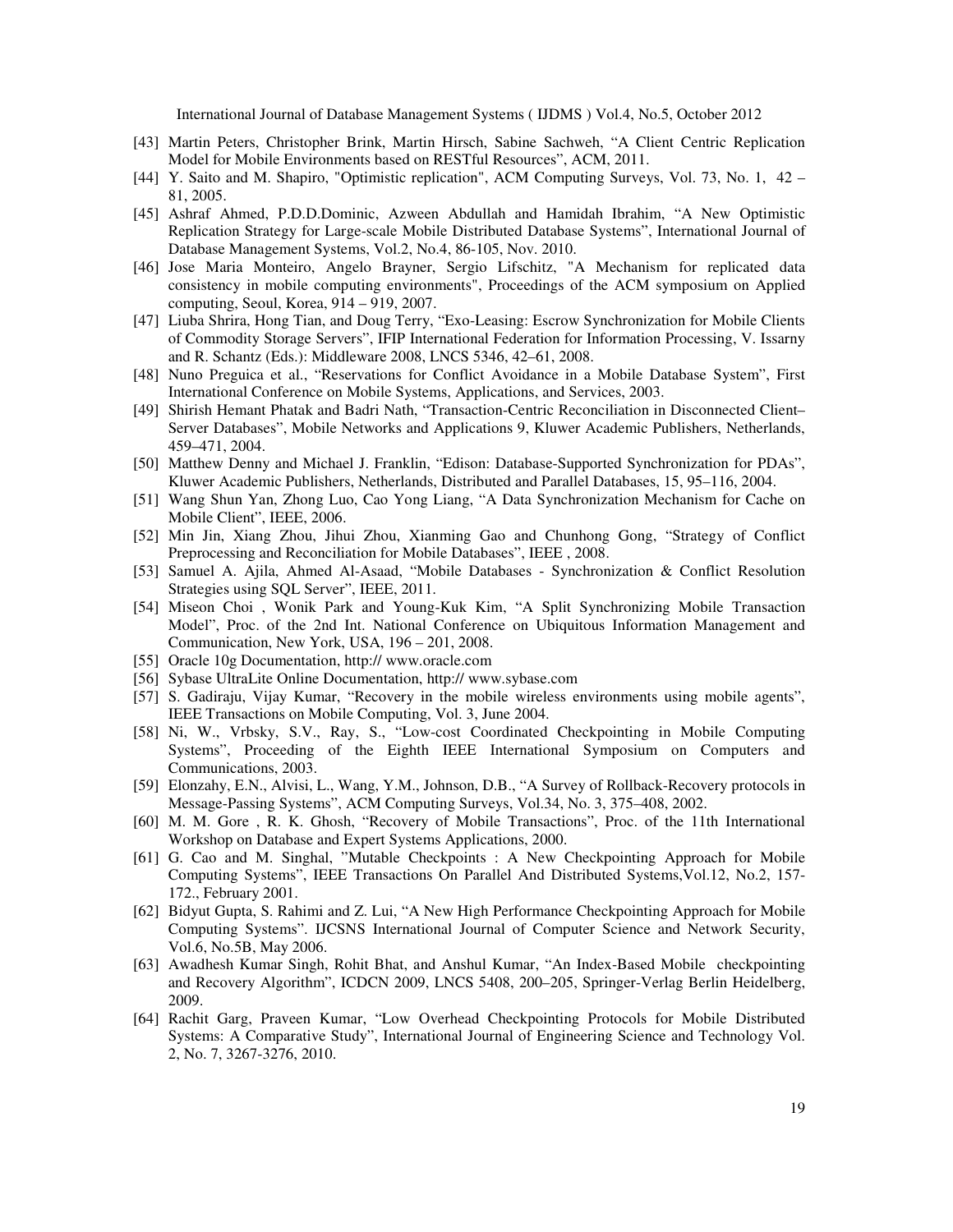- [43] Martin Peters, Christopher Brink, Martin Hirsch, Sabine Sachweh, "A Client Centric Replication Model for Mobile Environments based on RESTful Resources", ACM, 2011.
- [44] Y. Saito and M. Shapiro, "Optimistic replication", ACM Computing Surveys, Vol. 73, No. 1, 42 81, 2005.
- [45] Ashraf Ahmed, P.D.D.Dominic, Azween Abdullah and Hamidah Ibrahim, "A New Optimistic Replication Strategy for Large-scale Mobile Distributed Database Systems", International Journal of Database Management Systems, Vol.2, No.4, 86-105, Nov. 2010.
- [46] Jose Maria Monteiro, Angelo Brayner, Sergio Lifschitz, "A Mechanism for replicated data consistency in mobile computing environments", Proceedings of the ACM symposium on Applied computing, Seoul, Korea, 914 – 919, 2007.
- [47] Liuba Shrira, Hong Tian, and Doug Terry, "Exo-Leasing: Escrow Synchronization for Mobile Clients of Commodity Storage Servers", IFIP International Federation for Information Processing, V. Issarny and R. Schantz (Eds.): Middleware 2008, LNCS 5346, 42–61, 2008.
- [48] Nuno Preguica et al., "Reservations for Conflict Avoidance in a Mobile Database System", First International Conference on Mobile Systems, Applications, and Services, 2003.
- [49] Shirish Hemant Phatak and Badri Nath, "Transaction-Centric Reconciliation in Disconnected Client– Server Databases", Mobile Networks and Applications 9, Kluwer Academic Publishers, Netherlands, 459–471, 2004.
- [50] Matthew Denny and Michael J. Franklin, "Edison: Database-Supported Synchronization for PDAs", Kluwer Academic Publishers, Netherlands, Distributed and Parallel Databases, 15, 95–116, 2004.
- [51] Wang Shun Yan, Zhong Luo, Cao Yong Liang, "A Data Synchronization Mechanism for Cache on Mobile Client", IEEE, 2006.
- [52] Min Jin, Xiang Zhou, Jihui Zhou, Xianming Gao and Chunhong Gong, "Strategy of Conflict Preprocessing and Reconciliation for Mobile Databases", IEEE , 2008.
- [53] Samuel A. Ajila, Ahmed Al-Asaad, "Mobile Databases Synchronization & Conflict Resolution Strategies using SQL Server", IEEE, 2011.
- [54] Miseon Choi , Wonik Park and Young-Kuk Kim, "A Split Synchronizing Mobile Transaction Model", Proc. of the 2nd Int. National Conference on Ubiquitous Information Management and Communication, New York, USA, 196 – 201, 2008.
- [55] Oracle 10g Documentation, http:// www.oracle.com
- [56] Sybase UltraLite Online Documentation, http:// www.sybase.com
- [57] S. Gadiraju, Vijay Kumar, "Recovery in the mobile wireless environments using mobile agents", IEEE Transactions on Mobile Computing, Vol. 3, June 2004.
- [58] Ni, W., Vrbsky, S.V., Ray, S., "Low-cost Coordinated Checkpointing in Mobile Computing Systems", Proceeding of the Eighth IEEE International Symposium on Computers and Communications, 2003.
- [59] Elonzahy, E.N., Alvisi, L., Wang, Y.M., Johnson, D.B., "A Survey of Rollback-Recovery protocols in Message-Passing Systems", ACM Computing Surveys, Vol.34, No. 3, 375–408, 2002.
- [60] M. M. Gore , R. K. Ghosh, "Recovery of Mobile Transactions", Proc. of the 11th International Workshop on Database and Expert Systems Applications, 2000.
- [61] G. Cao and M. Singhal, "Mutable Checkpoints : A New Checkpointing Approach for Mobile Computing Systems", IEEE Transactions On Parallel And Distributed Systems,Vol.12, No.2, 157- 172., February 2001.
- [62] Bidyut Gupta, S. Rahimi and Z. Lui, "A New High Performance Checkpointing Approach for Mobile Computing Systems". IJCSNS International Journal of Computer Science and Network Security, Vol.6, No.5B, May 2006.
- [63] Awadhesh Kumar Singh, Rohit Bhat, and Anshul Kumar, "An Index-Based Mobile checkpointing and Recovery Algorithm", ICDCN 2009, LNCS 5408, 200–205, Springer-Verlag Berlin Heidelberg, 2009.
- [64] Rachit Garg, Praveen Kumar, "Low Overhead Checkpointing Protocols for Mobile Distributed Systems: A Comparative Study", International Journal of Engineering Science and Technology Vol. 2, No. 7, 3267-3276, 2010.